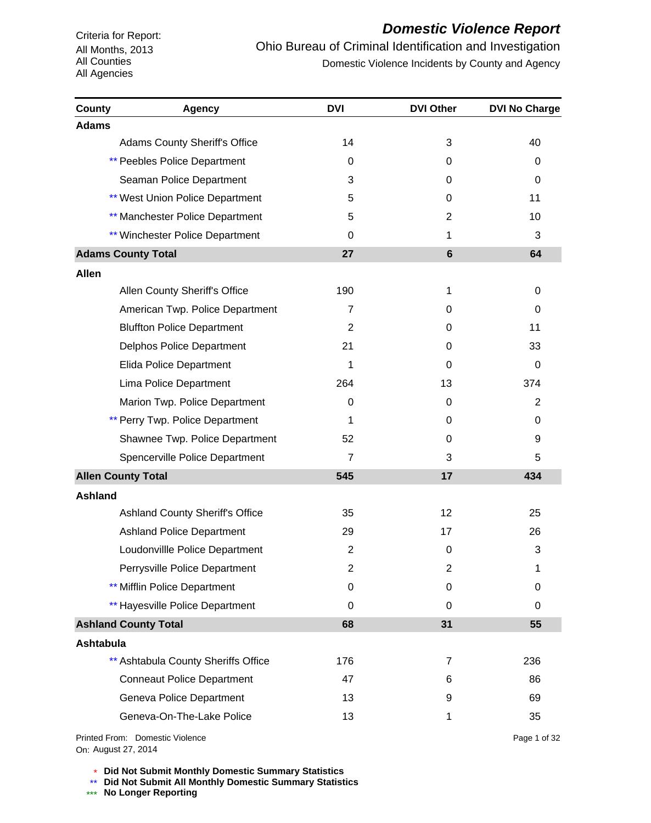# *Domestic Violence Report*

Ohio Bureau of Criminal Identification and Investigation Domestic Violence Incidents by County and Agency

| <b>County</b>    | <b>Agency</b>                          | <b>DVI</b>     | <b>DVI Other</b> | <b>DVI No Charge</b> |
|------------------|----------------------------------------|----------------|------------------|----------------------|
| <b>Adams</b>     |                                        |                |                  |                      |
|                  | <b>Adams County Sheriff's Office</b>   | 14             | 3                | 40                   |
|                  | <b>** Peebles Police Department</b>    | 0              | 0                | 0                    |
|                  | Seaman Police Department               | 3              | 0                | 0                    |
|                  | <b>** West Union Police Department</b> | 5              | 0                | 11                   |
|                  | ** Manchester Police Department        | 5              | 2                | 10                   |
|                  | ** Winchester Police Department        | 0              | 1                | 3                    |
|                  | <b>Adams County Total</b>              | 27             | 6                | 64                   |
| <b>Allen</b>     |                                        |                |                  |                      |
|                  | Allen County Sheriff's Office          | 190            | 1                | 0                    |
|                  | American Twp. Police Department        | $\overline{7}$ | 0                | $\Omega$             |
|                  | <b>Bluffton Police Department</b>      | 2              | 0                | 11                   |
|                  | Delphos Police Department              | 21             | 0                | 33                   |
|                  | <b>Elida Police Department</b>         | 1              | 0                | $\mathbf 0$          |
|                  | Lima Police Department                 | 264            | 13               | 374                  |
|                  | Marion Twp. Police Department          | 0              | 0                | 2                    |
|                  | ** Perry Twp. Police Department        | 1              | 0                | 0                    |
|                  | Shawnee Twp. Police Department         | 52             | 0                | 9                    |
|                  | Spencerville Police Department         | $\overline{7}$ | 3                | 5                    |
|                  | <b>Allen County Total</b>              | 545            | 17               | 434                  |
| <b>Ashland</b>   |                                        |                |                  |                      |
|                  | <b>Ashland County Sheriff's Office</b> | 35             | 12 <sup>2</sup>  | 25                   |
|                  | <b>Ashland Police Department</b>       | 29             | 17               | 26                   |
|                  | Loudonvillle Police Department         | $\overline{2}$ | 0                | 3                    |
|                  | Perrysville Police Department          | 2              | 2                | 1                    |
|                  | ** Mifflin Police Department           | 0              | 0                | 0                    |
|                  | ** Hayesville Police Department        | 0              | 0                | 0                    |
|                  | <b>Ashland County Total</b>            | 68             | 31               | 55                   |
| <b>Ashtabula</b> |                                        |                |                  |                      |
|                  | ** Ashtabula County Sheriffs Office    | 176            | 7                | 236                  |
|                  | <b>Conneaut Police Department</b>      | 47             | 6                | 86                   |
|                  | Geneva Police Department               | 13             | 9                | 69                   |
|                  | Geneva-On-The-Lake Police              | 13             | 1                | 35                   |
|                  | <b>Drintod From: Domostic Violonco</b> |                |                  | Dao 1 of 32          |

On: August 27, 2014Printed From: Domestic Violence Page 1 of 32

\* **Did Not Submit Monthly Domestic Summary Statistics**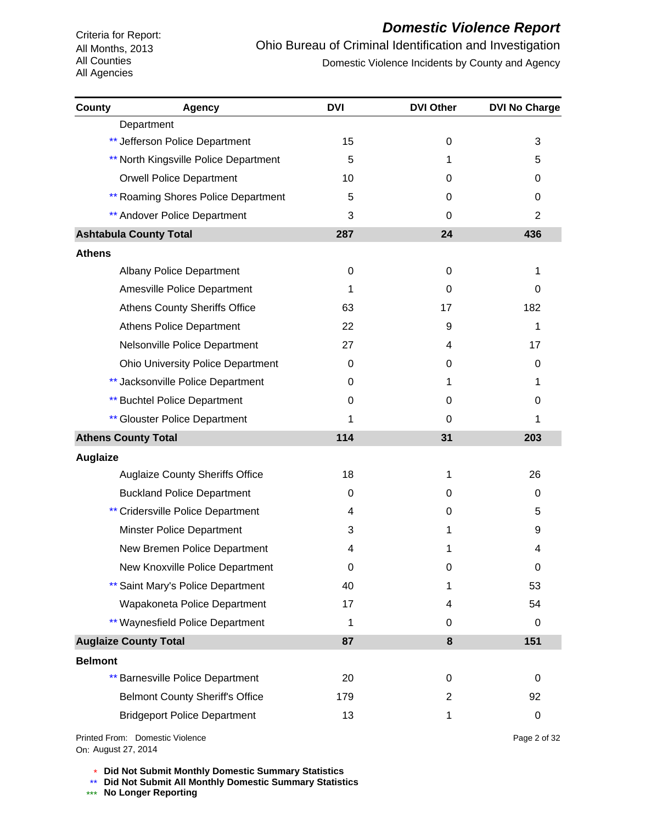# *Domestic Violence Report*

Ohio Bureau of Criminal Identification and Investigation Domestic Violence Incidents by County and Agency

| County          | <b>Agency</b>                                           | <b>DVI</b>  | <b>DVI Other</b> | <b>DVI No Charge</b> |
|-----------------|---------------------------------------------------------|-------------|------------------|----------------------|
|                 | Department                                              |             |                  |                      |
|                 | ** Jefferson Police Department                          | 15          | 0                | 3                    |
|                 | ** North Kingsville Police Department                   | 5           | 1                | 5                    |
|                 | <b>Orwell Police Department</b>                         | 10          | 0                | 0                    |
|                 | <b>** Roaming Shores Police Department</b>              | 5           | 0                | 0                    |
|                 | <b>** Andover Police Department</b>                     | 3           | $\Omega$         | 2                    |
|                 | <b>Ashtabula County Total</b>                           | 287         | 24               | 436                  |
| <b>Athens</b>   |                                                         |             |                  |                      |
|                 | Albany Police Department                                | 0           | 0                | 1                    |
|                 | Amesville Police Department                             | 1           | 0                | 0                    |
|                 | <b>Athens County Sheriffs Office</b>                    | 63          | 17               | 182                  |
|                 | <b>Athens Police Department</b>                         | 22          | 9                | 1                    |
|                 | Nelsonville Police Department                           | 27          | 4                | 17                   |
|                 | <b>Ohio University Police Department</b>                | 0           | 0                | 0                    |
|                 | ** Jacksonville Police Department                       | 0           | 1                | 1                    |
|                 | <b>** Buchtel Police Department</b>                     | 0           | 0                | 0                    |
|                 | ** Glouster Police Department                           | 1           | 0                | 1                    |
|                 | <b>Athens County Total</b>                              | 114         | 31               | 203                  |
| <b>Auglaize</b> |                                                         |             |                  |                      |
|                 | <b>Auglaize County Sheriffs Office</b>                  | 18          | 1                | 26                   |
|                 | <b>Buckland Police Department</b>                       | 0           | 0                | 0                    |
|                 | ** Cridersville Police Department                       | 4           | 0                | 5                    |
|                 | Minster Police Department                               | 3           | 1                | 9                    |
|                 | New Bremen Police Department                            | 4           | 1                | 4                    |
|                 | New Knoxville Police Department                         | $\mathbf 0$ | 0                | 0                    |
|                 | ** Saint Mary's Police Department                       | 40          | 1                | 53                   |
|                 | Wapakoneta Police Department                            | 17          | 4                | 54                   |
|                 | ** Waynesfield Police Department                        | 1           | 0                | 0                    |
|                 | <b>Auglaize County Total</b>                            | 87          | 8                | 151                  |
| <b>Belmont</b>  |                                                         |             |                  |                      |
|                 | <b>Barnesville Police Department</b><br>$^{\star\star}$ | 20          | 0                | 0                    |
|                 | <b>Belmont County Sheriff's Office</b>                  | 179         | 2                | 92                   |
|                 | <b>Bridgeport Police Department</b>                     | 13          | 1                | 0                    |
|                 |                                                         |             |                  |                      |

On: August 27, 2014Printed From: Domestic Violence Page 2 of 32

\* **Did Not Submit Monthly Domestic Summary Statistics**

**Did Not Submit All Monthly Domestic Summary Statistics**

<u>\*\*</u> Did Not Submit All M®<br><mark>\*\*\*</mark> No Longer Reporting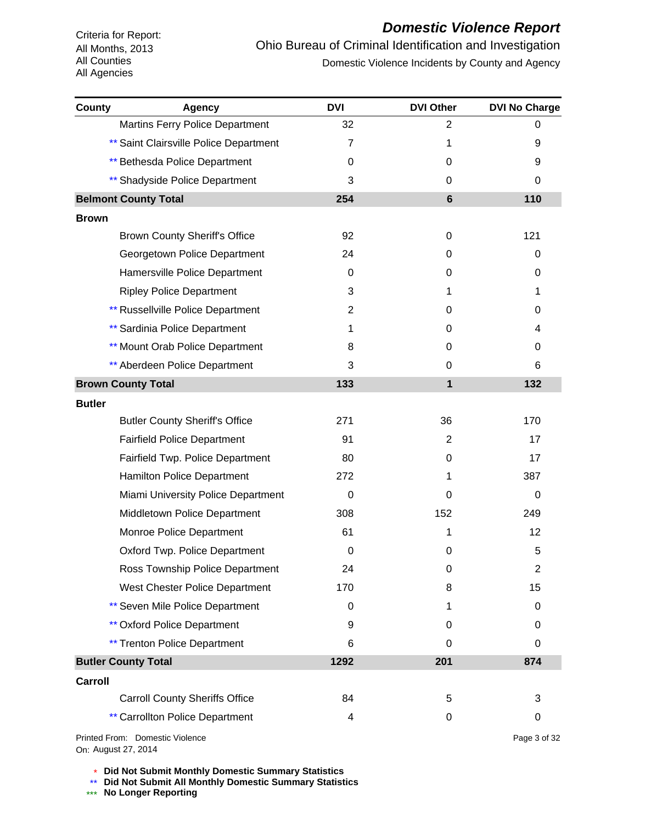# *Domestic Violence Report*

Ohio Bureau of Criminal Identification and Investigation Domestic Violence Incidents by County and Agency

| County        | Agency                                   | <b>DVI</b>     | <b>DVI Other</b> | <b>DVI No Charge</b> |
|---------------|------------------------------------------|----------------|------------------|----------------------|
|               | Martins Ferry Police Department          | 32             | 2                | 0                    |
|               | ** Saint Clairsville Police Department   | 7              | 1                | 9                    |
|               | ** Bethesda Police Department            | 0              | 0                | 9                    |
|               | ** Shadyside Police Department           | 3              | 0                | 0                    |
|               | <b>Belmont County Total</b>              | 254            | 6                | 110                  |
| <b>Brown</b>  |                                          |                |                  |                      |
|               | <b>Brown County Sheriff's Office</b>     | 92             | 0                | 121                  |
|               | Georgetown Police Department             | 24             | 0                | 0                    |
|               | Hamersville Police Department            | 0              | 0                | 0                    |
|               | <b>Ripley Police Department</b>          | 3              | 1                | $\mathbf{1}$         |
|               | <b>** Russellville Police Department</b> | $\overline{2}$ | 0                | 0                    |
|               | ** Sardinia Police Department            | 1              | 0                | 4                    |
|               | <b>** Mount Orab Police Department</b>   | 8              | 0                | 0                    |
|               | ** Aberdeen Police Department            | 3              | 0                | 6                    |
|               | <b>Brown County Total</b>                | 133            | $\mathbf{1}$     | 132                  |
| <b>Butler</b> |                                          |                |                  |                      |
|               | <b>Butler County Sheriff's Office</b>    | 271            | 36               | 170                  |
|               | <b>Fairfield Police Department</b>       | 91             | 2                | 17                   |
|               | Fairfield Twp. Police Department         | 80             | 0                | 17                   |
|               | <b>Hamilton Police Department</b>        | 272            | 1                | 387                  |
|               | Miami University Police Department       | $\Omega$       | 0                | 0                    |
|               | Middletown Police Department             | 308            | 152              | 249                  |
|               | Monroe Police Department                 | 61             | 1                | 12 <sup>2</sup>      |
|               | Oxford Twp. Police Department            | 0              | 0                | 5                    |
|               | Ross Township Police Department          | 24             | 0                | 2                    |
|               | West Chester Police Department           | 170            | 8                | 15                   |
|               | ** Seven Mile Police Department          | 0              | 1                | 0                    |
|               | <b>** Oxford Police Department</b>       | 9              | 0                | 0                    |
|               | <b>** Trenton Police Department</b>      | 6              | 0                | 0                    |
|               | <b>Butler County Total</b>               | 1292           | 201              | 874                  |
| Carroll       |                                          |                |                  |                      |
|               | <b>Carroll County Sheriffs Office</b>    | 84             | 5                | 3                    |
|               | <b>** Carrollton Police Department</b>   | 4              | 0                | 0                    |
|               | Printed From: Domestic Violence          |                |                  | Page 3 of 32         |

On: August 27, 2014

\* **Did Not Submit Monthly Domestic Summary Statistics**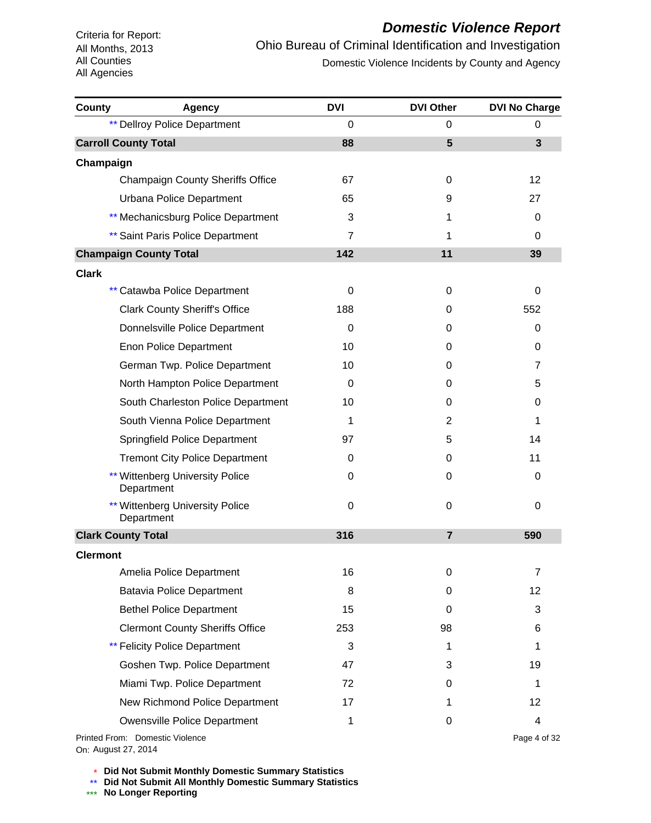# *Domestic Violence Report*

Ohio Bureau of Criminal Identification and Investigation Domestic Violence Incidents by County and Agency

| County          | <b>Agency</b>                                 | <b>DVI</b>     | <b>DVI Other</b> | <b>DVI No Charge</b> |
|-----------------|-----------------------------------------------|----------------|------------------|----------------------|
|                 | <b>** Dellroy Police Department</b>           | $\Omega$       | 0                | 0                    |
|                 | <b>Carroll County Total</b>                   | 88             | 5                | 3                    |
| Champaign       |                                               |                |                  |                      |
|                 | <b>Champaign County Sheriffs Office</b>       | 67             | 0                | 12                   |
|                 | Urbana Police Department                      | 65             | 9                | 27                   |
|                 | ** Mechanicsburg Police Department            | 3              | 1                | 0                    |
|                 | ** Saint Paris Police Department              | $\overline{7}$ | 1                | $\Omega$             |
|                 | <b>Champaign County Total</b>                 | 142            | 11               | 39                   |
| <b>Clark</b>    |                                               |                |                  |                      |
|                 | ** Catawba Police Department                  | 0              | 0                | 0                    |
|                 | <b>Clark County Sheriff's Office</b>          | 188            | 0                | 552                  |
|                 | Donnelsville Police Department                | 0              | 0                | 0                    |
|                 | <b>Enon Police Department</b>                 | 10             | 0                | 0                    |
|                 | German Twp. Police Department                 | 10             | 0                | $\overline{7}$       |
|                 | North Hampton Police Department               | 0              | 0                | 5                    |
|                 | South Charleston Police Department            | 10             | 0                | 0                    |
|                 | South Vienna Police Department                | 1              | 2                | 1                    |
|                 | Springfield Police Department                 | 97             | 5                | 14                   |
|                 | <b>Tremont City Police Department</b>         | 0              | 0                | 11                   |
|                 | Wittenberg University Police<br>Department    | 0              | 0                | 0                    |
|                 | ** Wittenberg University Police<br>Department | 0              | 0                | 0                    |
|                 | <b>Clark County Total</b>                     | 316            | $\overline{7}$   | 590                  |
| <b>Clermont</b> |                                               |                |                  |                      |
|                 | Amelia Police Department                      | 16             | 0                | 7                    |
|                 | <b>Batavia Police Department</b>              | 8              | 0                | 12                   |
|                 | <b>Bethel Police Department</b>               | 15             | 0                | 3                    |
|                 | <b>Clermont County Sheriffs Office</b>        | 253            | 98               | 6                    |
|                 | <b>** Felicity Police Department</b>          | 3              | 1                | 1                    |
|                 | Goshen Twp. Police Department                 | 47             | 3                | 19                   |
|                 | Miami Twp. Police Department                  | 72             | 0                | 1                    |
|                 | New Richmond Police Department                | 17             | 1                | 12 <sup>°</sup>      |
|                 | <b>Owensville Police Department</b>           | 1              | 0                | 4                    |
|                 | Printed From: Domestic Violence               |                |                  | Page 4 of 32         |

On: August 27, 2014

\* **Did Not Submit Monthly Domestic Summary Statistics**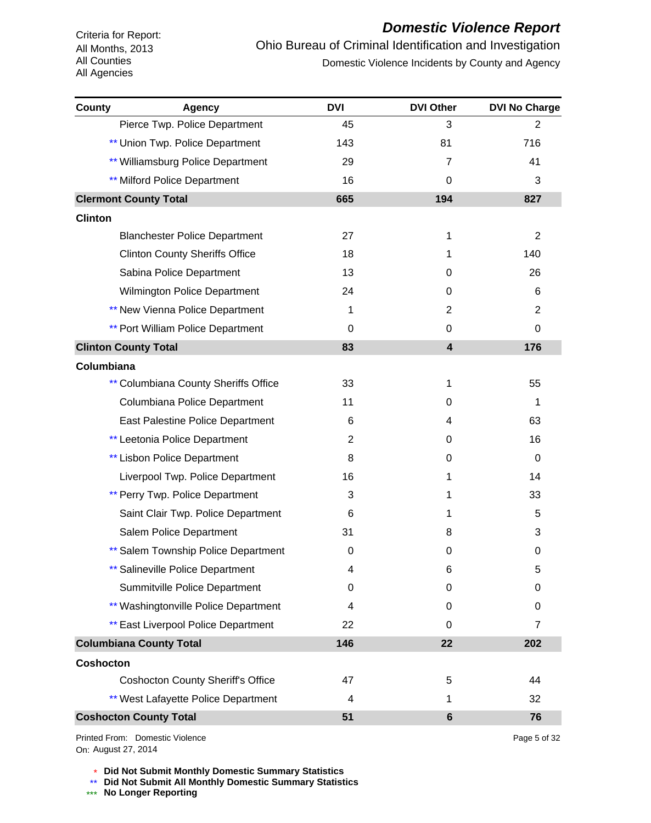#### *Domestic Violence Report*

Ohio Bureau of Criminal Identification and Investigation Domestic Violence Incidents by County and Agency

| County           | <b>Agency</b>                              | <b>DVI</b> | <b>DVI Other</b>        | <b>DVI No Charge</b> |
|------------------|--------------------------------------------|------------|-------------------------|----------------------|
|                  | Pierce Twp. Police Department              | 45         | 3                       | $\overline{2}$       |
|                  | ** Union Twp. Police Department            | 143        | 81                      | 716                  |
|                  | ** Williamsburg Police Department          | 29         | 7                       | 41                   |
|                  | <b>** Milford Police Department</b>        | 16         | $\Omega$                | 3                    |
|                  | <b>Clermont County Total</b>               | 665        | 194                     | 827                  |
| <b>Clinton</b>   |                                            |            |                         |                      |
|                  | <b>Blanchester Police Department</b>       | 27         | 1                       | $\overline{2}$       |
|                  | <b>Clinton County Sheriffs Office</b>      | 18         | 1                       | 140                  |
|                  | Sabina Police Department                   | 13         | 0                       | 26                   |
|                  | <b>Wilmington Police Department</b>        | 24         | 0                       | 6                    |
|                  | <b>** New Vienna Police Department</b>     | 1          | 2                       | 2                    |
|                  | <b>** Port William Police Department</b>   | 0          | 0                       | 0                    |
|                  | <b>Clinton County Total</b>                | 83         | $\overline{\mathbf{4}}$ | 176                  |
| Columbiana       |                                            |            |                         |                      |
|                  | ** Columbiana County Sheriffs Office       | 33         | 1                       | 55                   |
|                  | Columbiana Police Department               | 11         | 0                       | 1                    |
|                  | <b>East Palestine Police Department</b>    | 6          | 4                       | 63                   |
|                  | ** Leetonia Police Department              | 2          | 0                       | 16                   |
|                  | ** Lisbon Police Department                | 8          | 0                       | 0                    |
|                  | Liverpool Twp. Police Department           | 16         | 1                       | 14                   |
|                  | ** Perry Twp. Police Department            | 3          | 1                       | 33                   |
|                  | Saint Clair Twp. Police Department         | 6          | 1                       | 5                    |
|                  | Salem Police Department                    | 31         | 8                       | 3                    |
|                  | ** Salem Township Police Department        | 0          | 0                       | 0                    |
|                  | ** Salineville Police Department           | 4          | 6                       | 5                    |
|                  | Summitville Police Department              | 0          | 0                       | 0                    |
|                  | ** Washingtonville Police Department       | 4          | 0                       | 0                    |
|                  | <b>** East Liverpool Police Department</b> | 22         | 0                       | 7                    |
|                  | <b>Columbiana County Total</b>             | 146        | 22                      | 202                  |
| <b>Coshocton</b> |                                            |            |                         |                      |
|                  | <b>Coshocton County Sheriff's Office</b>   | 47         | 5                       | 44                   |
|                  | ** West Lafayette Police Department        | 4          | 1                       | 32                   |
|                  | <b>Coshocton County Total</b>              | 51         | $6\phantom{1}$          | 76                   |

On: August 27, 2014Printed From: Domestic Violence Page 5 of 32

\* **Did Not Submit Monthly Domestic Summary Statistics**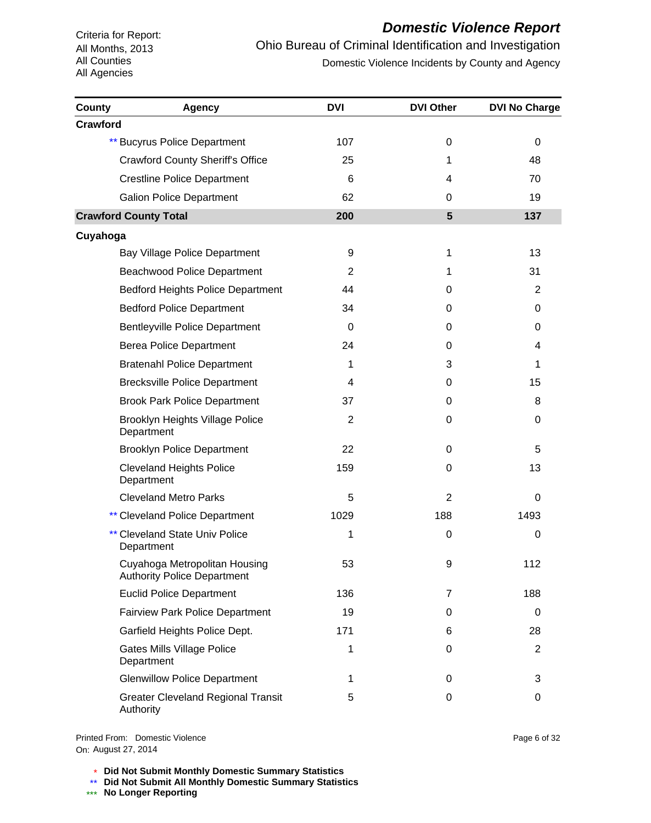# *Domestic Violence Report*

Ohio Bureau of Criminal Identification and Investigation Domestic Violence Incidents by County and Agency

| County          | <b>Agency</b>                                                       | <b>DVI</b>     | <b>DVI Other</b> | <b>DVI No Charge</b> |
|-----------------|---------------------------------------------------------------------|----------------|------------------|----------------------|
| <b>Crawford</b> |                                                                     |                |                  |                      |
|                 | <b>** Bucyrus Police Department</b>                                 | 107            | 0                | 0                    |
|                 | <b>Crawford County Sheriff's Office</b>                             | 25             | 1                | 48                   |
|                 | <b>Crestline Police Department</b>                                  | 6              | 4                | 70                   |
|                 | <b>Galion Police Department</b>                                     | 62             | 0                | 19                   |
|                 | <b>Crawford County Total</b>                                        | 200            | 5                | 137                  |
| Cuyahoga        |                                                                     |                |                  |                      |
|                 | Bay Village Police Department                                       | 9              | 1                | 13                   |
|                 | <b>Beachwood Police Department</b>                                  | 2              | 1                | 31                   |
|                 | <b>Bedford Heights Police Department</b>                            | 44             | 0                | 2                    |
|                 | <b>Bedford Police Department</b>                                    | 34             | 0                | 0                    |
|                 | <b>Bentleyville Police Department</b>                               | $\Omega$       | 0                | 0                    |
|                 | <b>Berea Police Department</b>                                      | 24             | 0                | 4                    |
|                 | <b>Bratenahl Police Department</b>                                  | 1              | 3                | 1                    |
|                 | <b>Brecksville Police Department</b>                                | 4              | 0                | 15                   |
|                 | <b>Brook Park Police Department</b>                                 | 37             | 0                | 8                    |
|                 | Brooklyn Heights Village Police<br>Department                       | $\overline{2}$ | 0                | 0                    |
|                 | <b>Brooklyn Police Department</b>                                   | 22             | 0                | 5                    |
|                 | <b>Cleveland Heights Police</b><br>Department                       | 159            | 0                | 13                   |
|                 | <b>Cleveland Metro Parks</b>                                        | 5              | 2                | 0                    |
|                 | <b>** Cleveland Police Department</b>                               | 1029           | 188              | 1493                 |
|                 | <b>** Cleveland State Univ Police</b><br>Department                 | 1              | 0                | 0                    |
|                 | Cuyahoga Metropolitan Housing<br><b>Authority Police Department</b> | 53             | 9                | 112                  |
|                 | <b>Euclid Police Department</b>                                     | 136            | 7                | 188                  |
|                 | <b>Fairview Park Police Department</b>                              | 19             | 0                | 0                    |
|                 | Garfield Heights Police Dept.                                       | 171            | 6                | 28                   |
|                 | <b>Gates Mills Village Police</b><br>Department                     | 1              | 0                | $\overline{c}$       |
|                 | <b>Glenwillow Police Department</b>                                 | 1              | 0                | 3                    |
|                 | <b>Greater Cleveland Regional Transit</b><br>Authority              | 5              | 0                | 0                    |

On: August 27, 2014Printed From: Domestic Violence

\* **Did Not Submit Monthly Domestic Summary Statistics**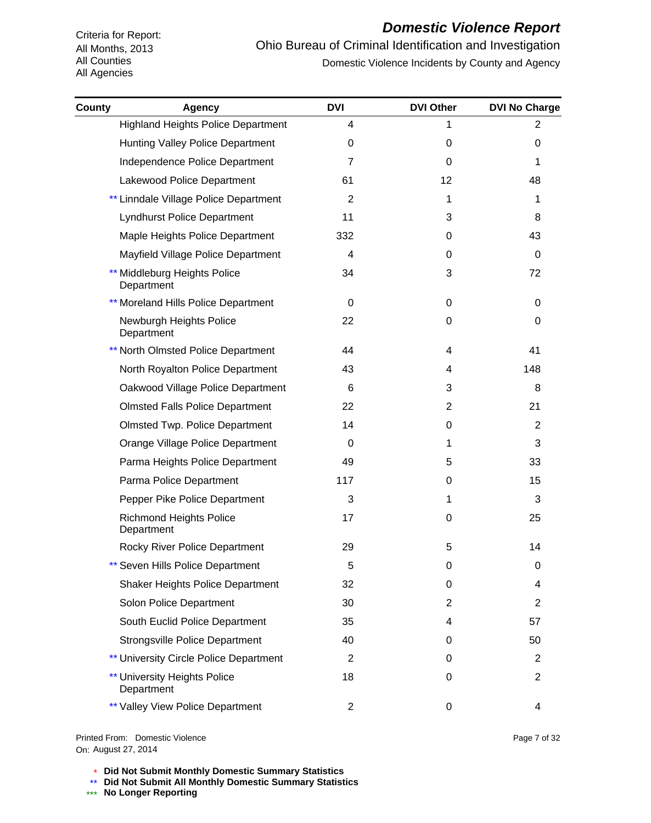# *Domestic Violence Report*

Ohio Bureau of Criminal Identification and Investigation Domestic Violence Incidents by County and Agency

| County | <b>Agency</b>                                     | <b>DVI</b>     | <b>DVI Other</b> | <b>DVI No Charge</b> |
|--------|---------------------------------------------------|----------------|------------------|----------------------|
|        | <b>Highland Heights Police Department</b>         | 4              | 1                | $\overline{2}$       |
|        | Hunting Valley Police Department                  | 0              | $\Omega$         | 0                    |
|        | Independence Police Department                    | 7              | 0                | 1                    |
|        | Lakewood Police Department                        | 61             | 12 <sup>2</sup>  | 48                   |
|        | ** Linndale Village Police Department             | $\overline{2}$ | 1                | 1                    |
|        | <b>Lyndhurst Police Department</b>                | 11             | 3                | 8                    |
|        | Maple Heights Police Department                   | 332            | 0                | 43                   |
|        | Mayfield Village Police Department                | 4              | 0                | 0                    |
|        | Middleburg Heights Police<br>Department           | 34             | 3                | 72                   |
|        | ** Moreland Hills Police Department               | 0              | 0                | 0                    |
|        | Newburgh Heights Police<br>Department             | 22             | 0                | 0                    |
|        | <b>** North Olmsted Police Department</b>         | 44             | 4                | 41                   |
|        | North Royalton Police Department                  | 43             | 4                | 148                  |
|        | Oakwood Village Police Department                 | $\,6$          | 3                | 8                    |
|        | <b>Olmsted Falls Police Department</b>            | 22             | $\overline{2}$   | 21                   |
|        | <b>Olmsted Twp. Police Department</b>             | 14             | 0                | $\overline{2}$       |
|        | Orange Village Police Department                  | 0              | 1                | 3                    |
|        | Parma Heights Police Department                   | 49             | 5                | 33                   |
|        | Parma Police Department                           | 117            | 0                | 15                   |
|        | Pepper Pike Police Department                     | 3              | 1                | 3                    |
|        | <b>Richmond Heights Police</b><br>Department      | 17             | 0                | 25                   |
|        | Rocky River Police Department                     | 29             | 5                | 14                   |
|        | Seven Hills Police Department                     | 5              | 0                | 0                    |
|        | <b>Shaker Heights Police Department</b>           | 32             | 0                | 4                    |
|        | Solon Police Department                           | 30             | 2                | 2                    |
|        | South Euclid Police Department                    | 35             | 4                | 57                   |
|        | <b>Strongsville Police Department</b>             | 40             | 0                | 50                   |
|        | ** University Circle Police Department            | $\overline{2}$ | 0                | 2                    |
|        | <b>** University Heights Police</b><br>Department | 18             | 0                | 2                    |
|        | ** Valley View Police Department                  | $\overline{c}$ | 0                | 4                    |

On: August 27, 2014Printed From: Domestic Violence Page 7 of 32

\* **Did Not Submit Monthly Domestic Summary Statistics**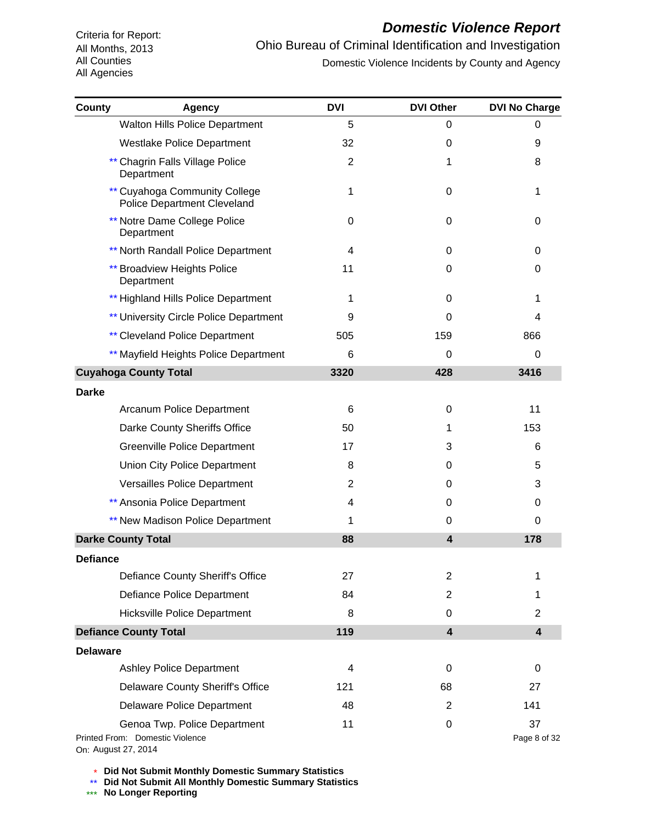#### *Domestic Violence Report*

Ohio Bureau of Criminal Identification and Investigation Domestic Violence Incidents by County and Agency

| County          | <b>Agency</b>                                                                          | <b>DVI</b>     | <b>DVI Other</b>        | <b>DVI No Charge</b>    |
|-----------------|----------------------------------------------------------------------------------------|----------------|-------------------------|-------------------------|
|                 | <b>Walton Hills Police Department</b>                                                  | 5              | 0                       | 0                       |
|                 | Westlake Police Department                                                             | 32             | 0                       | 9                       |
|                 | ** Chagrin Falls Village Police<br>Department                                          | $\overline{2}$ | 1                       | 8                       |
|                 | ** Cuyahoga Community College<br><b>Police Department Cleveland</b>                    | 1              | 0                       | 1                       |
|                 | <b>** Notre Dame College Police</b><br>Department                                      | 0              | $\Omega$                | 0                       |
|                 | ** North Randall Police Department                                                     | 4              | 0                       | 0                       |
|                 | <b>** Broadview Heights Police</b><br>Department                                       | 11             | 0                       | 0                       |
|                 | ** Highland Hills Police Department                                                    | 1              | $\Omega$                | 1                       |
|                 | <b>** University Circle Police Department</b>                                          | 9              | 0                       | 4                       |
|                 | <b>** Cleveland Police Department</b>                                                  | 505            | 159                     | 866                     |
|                 | ** Mayfield Heights Police Department                                                  | 6              | 0                       | 0                       |
|                 | <b>Cuyahoga County Total</b>                                                           | 3320           | 428                     | 3416                    |
| <b>Darke</b>    |                                                                                        |                |                         |                         |
|                 | Arcanum Police Department                                                              | 6              | 0                       | 11                      |
|                 | Darke County Sheriffs Office                                                           | 50             | 1                       | 153                     |
|                 | <b>Greenville Police Department</b>                                                    | 17             | 3                       | 6                       |
|                 | Union City Police Department                                                           | 8              | 0                       | 5                       |
|                 | Versailles Police Department                                                           | 2              | 0                       | 3                       |
|                 | ** Ansonia Police Department                                                           | 4              | 0                       | 0                       |
|                 | ** New Madison Police Department                                                       | 1              | 0                       | 0                       |
|                 | <b>Darke County Total</b>                                                              | 88             | $\overline{\mathbf{4}}$ | 178                     |
| <b>Defiance</b> |                                                                                        |                |                         |                         |
|                 | Defiance County Sheriff's Office                                                       | 27             | $\overline{c}$          | 1                       |
|                 | Defiance Police Department                                                             | 84             | 2                       | 1                       |
|                 | <b>Hicksville Police Department</b>                                                    | 8              | 0                       | $\overline{2}$          |
|                 | <b>Defiance County Total</b>                                                           | 119            | $\overline{\mathbf{4}}$ | $\overline{\mathbf{4}}$ |
| <b>Delaware</b> |                                                                                        |                |                         |                         |
|                 | <b>Ashley Police Department</b>                                                        | 4              | 0                       | 0                       |
|                 | Delaware County Sheriff's Office                                                       | 121            | 68                      | 27                      |
|                 | <b>Delaware Police Department</b>                                                      | 48             | $\overline{c}$          | 141                     |
|                 | Genoa Twp. Police Department<br>Printed From: Domestic Violence<br>On: August 27, 2014 | 11             | 0                       | 37<br>Page 8 of 32      |

\* **Did Not Submit Monthly Domestic Summary Statistics**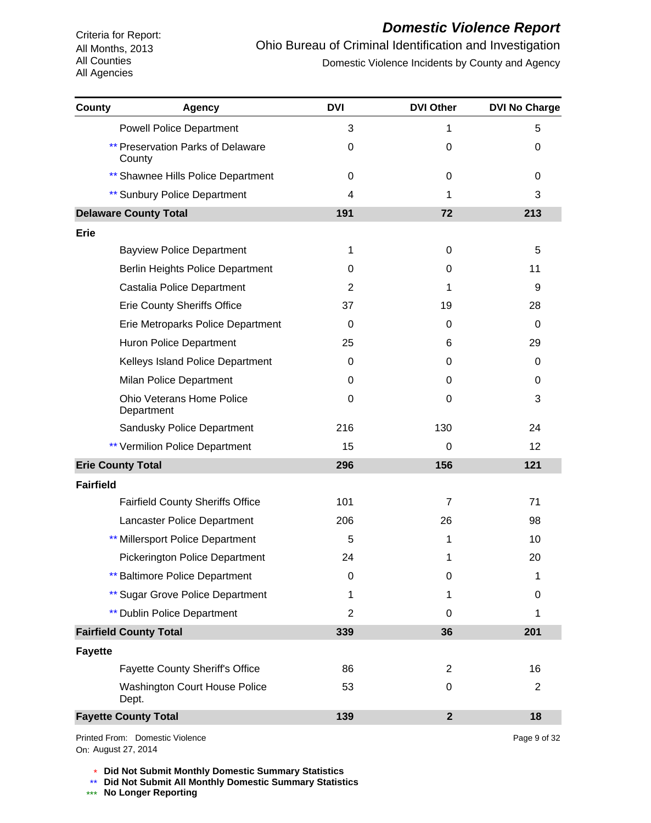#### *Domestic Violence Report*

Ohio Bureau of Criminal Identification and Investigation Domestic Violence Incidents by County and Agency

| County           | <b>Agency</b>                                      | <b>DVI</b>     | <b>DVI Other</b> | <b>DVI No Charge</b> |
|------------------|----------------------------------------------------|----------------|------------------|----------------------|
|                  | <b>Powell Police Department</b>                    | 3              | 1                | 5                    |
|                  | <b>** Preservation Parks of Delaware</b><br>County | 0              | 0                | 0                    |
|                  | ** Shawnee Hills Police Department                 | 0              | 0                | 0                    |
|                  | <b>** Sunbury Police Department</b>                | 4              | 1                | 3                    |
|                  | <b>Delaware County Total</b>                       | 191            | 72               | 213                  |
| Erie             |                                                    |                |                  |                      |
|                  | <b>Bayview Police Department</b>                   | 1              | 0                | 5                    |
|                  | <b>Berlin Heights Police Department</b>            | 0              | 0                | 11                   |
|                  | Castalia Police Department                         | 2              | 1                | 9                    |
|                  | <b>Erie County Sheriffs Office</b>                 | 37             | 19               | 28                   |
|                  | Erie Metroparks Police Department                  | 0              | 0                | $\mathbf 0$          |
|                  | Huron Police Department                            | 25             | 6                | 29                   |
|                  | Kelleys Island Police Department                   | 0              | 0                | 0                    |
|                  | Milan Police Department                            | 0              | 0                | 0                    |
|                  | <b>Ohio Veterans Home Police</b><br>Department     | 0              | 0                | 3                    |
|                  | Sandusky Police Department                         | 216            | 130              | 24                   |
|                  | <b>** Vermilion Police Department</b>              | 15             | 0                | 12                   |
|                  | <b>Erie County Total</b>                           | 296            | 156              | 121                  |
| <b>Fairfield</b> |                                                    |                |                  |                      |
|                  | <b>Fairfield County Sheriffs Office</b>            | 101            | $\overline{7}$   | 71                   |
|                  | Lancaster Police Department                        | 206            | 26               | 98                   |
|                  | ** Millersport Police Department                   | 5              | 1                | 10                   |
|                  | <b>Pickerington Police Department</b>              | 24             | 1                | 20                   |
|                  | <b>** Baltimore Police Department</b>              | 0              | 0                | 1                    |
|                  | ** Sugar Grove Police Department                   | 1              | 1                | 0                    |
|                  | <b>** Dublin Police Department</b>                 | $\overline{2}$ | 0                | 1                    |
|                  | <b>Fairfield County Total</b>                      | 339            | 36               | 201                  |
| <b>Fayette</b>   |                                                    |                |                  |                      |
|                  | <b>Fayette County Sheriff's Office</b>             | 86             | $\overline{2}$   | 16                   |
|                  | <b>Washington Court House Police</b><br>Dept.      | 53             | 0                | 2                    |
|                  | <b>Fayette County Total</b>                        | 139            | $\mathbf{2}$     | 18                   |
|                  |                                                    |                |                  |                      |

On: August 27, 2014Printed From: Domestic Violence Page 9 of 32

\* **Did Not Submit Monthly Domestic Summary Statistics**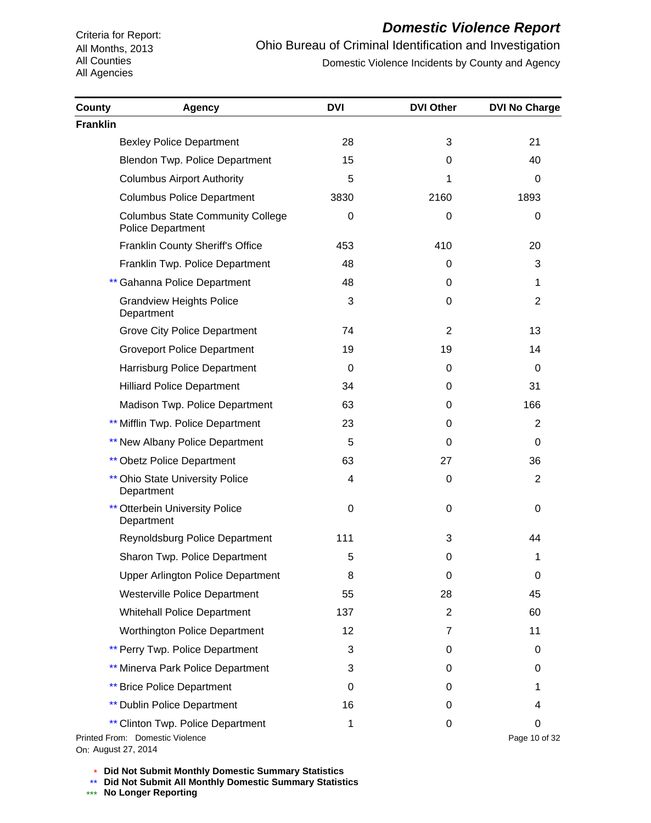# *Domestic Violence Report*

Ohio Bureau of Criminal Identification and Investigation Domestic Violence Incidents by County and Agency

| <b>County</b>   | <b>Agency</b>                                                                               | <b>DVI</b> | <b>DVI Other</b> | <b>DVI No Charge</b> |
|-----------------|---------------------------------------------------------------------------------------------|------------|------------------|----------------------|
| <b>Franklin</b> |                                                                                             |            |                  |                      |
|                 | <b>Bexley Police Department</b>                                                             | 28         | 3                | 21                   |
|                 | <b>Blendon Twp. Police Department</b>                                                       | 15         | 0                | 40                   |
|                 | <b>Columbus Airport Authority</b>                                                           | 5          | 1                | 0                    |
|                 | <b>Columbus Police Department</b>                                                           | 3830       | 2160             | 1893                 |
|                 | <b>Columbus State Community College</b><br><b>Police Department</b>                         | 0          | 0                | 0                    |
|                 | <b>Franklin County Sheriff's Office</b>                                                     | 453        | 410              | 20                   |
|                 | Franklin Twp. Police Department                                                             | 48         | 0                | 3                    |
|                 | Gahanna Police Department                                                                   | 48         | 0                | 1                    |
|                 | <b>Grandview Heights Police</b><br>Department                                               | 3          | 0                | $\overline{2}$       |
|                 | <b>Grove City Police Department</b>                                                         | 74         | $\overline{2}$   | 13                   |
|                 | <b>Groveport Police Department</b>                                                          | 19         | 19               | 14                   |
|                 | Harrisburg Police Department                                                                | 0          | 0                | 0                    |
|                 | <b>Hilliard Police Department</b>                                                           | 34         | 0                | 31                   |
|                 | Madison Twp. Police Department                                                              | 63         | 0                | 166                  |
|                 | ** Mifflin Twp. Police Department                                                           | 23         | 0                | 2                    |
|                 | ** New Albany Police Department                                                             | 5          | $\Omega$         | 0                    |
|                 | <b>** Obetz Police Department</b>                                                           | 63         | 27               | 36                   |
|                 | <b>** Ohio State University Police</b><br>Department                                        | 4          | 0                | $\overline{2}$       |
|                 | <b>** Otterbein University Police</b><br>Department                                         | 0          | 0                | 0                    |
|                 | Reynoldsburg Police Department                                                              | 111        | 3                | 44                   |
|                 | Sharon Twp. Police Department                                                               | 5          | 0                | 1                    |
|                 | <b>Upper Arlington Police Department</b>                                                    | 8          | 0                | 0                    |
|                 | Westerville Police Department                                                               | 55         | 28               | 45                   |
|                 | <b>Whitehall Police Department</b>                                                          | 137        | $\overline{2}$   | 60                   |
|                 | <b>Worthington Police Department</b>                                                        | 12         | 7                | 11                   |
|                 | ** Perry Twp. Police Department                                                             | 3          | 0                | 0                    |
|                 | ** Minerva Park Police Department                                                           | 3          | 0                | 0                    |
|                 | <b>** Brice Police Department</b>                                                           | 0          | 0                | 1                    |
|                 | <b>** Dublin Police Department</b>                                                          | 16         | 0                | 4                    |
|                 | ** Clinton Twp. Police Department<br>Printed From: Domestic Violence<br>On: August 27, 2014 | 1          | 0                | 0<br>Page 10 of 32   |

\* **Did Not Submit Monthly Domestic Summary Statistics**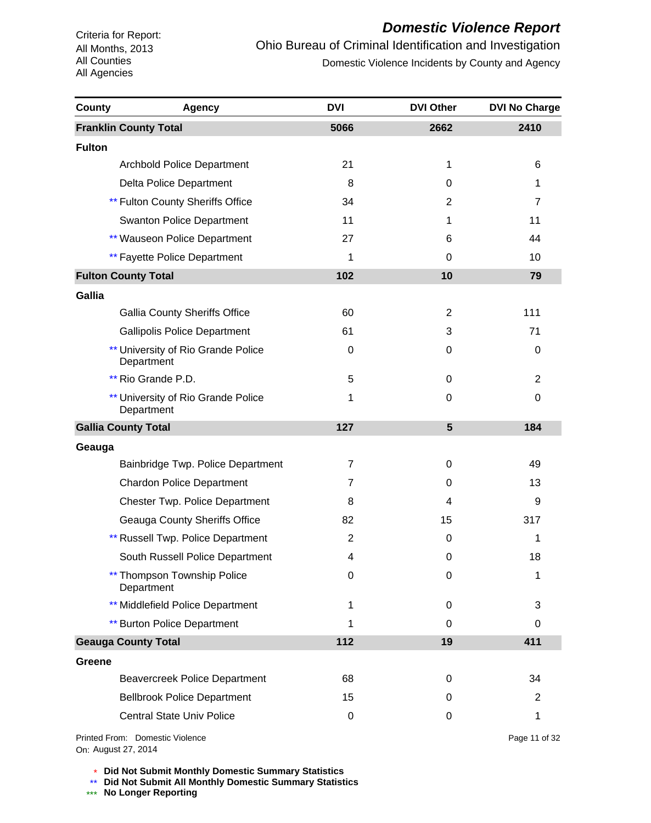# *Domestic Violence Report*

Ohio Bureau of Criminal Identification and Investigation Domestic Violence Incidents by County and Agency

| County        | <b>Agency</b>                                    | <b>DVI</b>     | <b>DVI Other</b> | <b>DVI No Charge</b> |
|---------------|--------------------------------------------------|----------------|------------------|----------------------|
|               | <b>Franklin County Total</b>                     | 5066           | 2662             | 2410                 |
| <b>Fulton</b> |                                                  |                |                  |                      |
|               | <b>Archbold Police Department</b>                | 21             | 1                | 6                    |
|               | Delta Police Department                          | 8              | 0                | 1                    |
|               | ** Fulton County Sheriffs Office                 | 34             | 2                | $\overline{7}$       |
|               | <b>Swanton Police Department</b>                 | 11             | 1                | 11                   |
|               | ** Wauseon Police Department                     | 27             | 6                | 44                   |
|               | <b>** Fayette Police Department</b>              | 1              | 0                | 10                   |
|               | <b>Fulton County Total</b>                       | 102            | 10               | 79                   |
| Gallia        |                                                  |                |                  |                      |
|               | <b>Gallia County Sheriffs Office</b>             | 60             | $\overline{2}$   | 111                  |
|               | <b>Gallipolis Police Department</b>              | 61             | 3                | 71                   |
|               | University of Rio Grande Police<br>Department    | 0              | 0                | 0                    |
|               | ** Rio Grande P.D.                               | 5              | 0                | $\overline{2}$       |
|               | ** University of Rio Grande Police<br>Department | 1              | 0                | 0                    |
|               | <b>Gallia County Total</b>                       | 127            | 5                | 184                  |
| Geauga        |                                                  |                |                  |                      |
|               | Bainbridge Twp. Police Department                | $\overline{7}$ | 0                | 49                   |
|               | <b>Chardon Police Department</b>                 | 7              | 0                | 13                   |
|               | <b>Chester Twp. Police Department</b>            | 8              | 4                | 9                    |
|               | <b>Geauga County Sheriffs Office</b>             | 82             | 15               | 317                  |
|               | Russell Twp. Police Department                   | $\overline{2}$ | 0                | 1                    |
|               | South Russell Police Department                  | 4              | $\mathbf 0$      | 18                   |
|               | Thompson Township Police<br>Department           | $\mathbf 0$    | 0                | 1                    |
|               | ** Middlefield Police Department                 | 1              | 0                | 3                    |
|               | <b>** Burton Police Department</b>               | 1              | 0                | 0                    |
|               | <b>Geauga County Total</b>                       | 112            | 19               | 411                  |
| <b>Greene</b> |                                                  |                |                  |                      |
|               | <b>Beavercreek Police Department</b>             | 68             | 0                | 34                   |
|               | <b>Bellbrook Police Department</b>               | 15             | 0                | 2                    |
|               | <b>Central State Univ Police</b>                 | $\mathbf 0$    | 0                | 1                    |
|               |                                                  |                |                  |                      |

On: August 27, 2014Printed From: Domestic Violence Page 11 of 32

\* **Did Not Submit Monthly Domestic Summary Statistics**

**Did Not Submit All Monthly Domestic Summary Statistics**

<u>\*\*</u> Did Not Submit All M®<br><mark>\*\*\*</mark> No Longer Reporting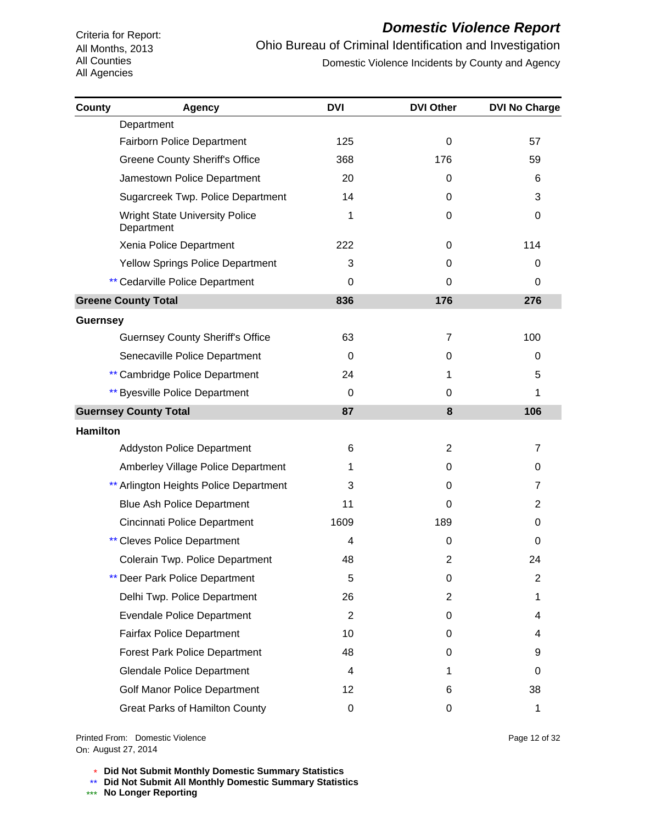# *Domestic Violence Report*

Ohio Bureau of Criminal Identification and Investigation Domestic Violence Incidents by County and Agency

| County          | <b>Agency</b>                                       | <b>DVI</b>     | <b>DVI Other</b> | <b>DVI No Charge</b> |
|-----------------|-----------------------------------------------------|----------------|------------------|----------------------|
|                 | Department                                          |                |                  |                      |
|                 | <b>Fairborn Police Department</b>                   | 125            | 0                | 57                   |
|                 | <b>Greene County Sheriff's Office</b>               | 368            | 176              | 59                   |
|                 | Jamestown Police Department                         | 20             | 0                | 6                    |
|                 | Sugarcreek Twp. Police Department                   | 14             | 0                | 3                    |
|                 | <b>Wright State University Police</b><br>Department | 1              | 0                | 0                    |
|                 | Xenia Police Department                             | 222            | 0                | 114                  |
|                 | <b>Yellow Springs Police Department</b>             | 3              | 0                | 0                    |
|                 | ** Cedarville Police Department                     | 0              | 0                | 0                    |
|                 | <b>Greene County Total</b>                          | 836            | 176              | 276                  |
| <b>Guernsey</b> |                                                     |                |                  |                      |
|                 | <b>Guernsey County Sheriff's Office</b>             | 63             | 7                | 100                  |
|                 | Senecaville Police Department                       | 0              | 0                | 0                    |
|                 | ** Cambridge Police Department                      | 24             | 1                | 5                    |
|                 | ** Byesville Police Department                      | 0              | 0                | 1                    |
|                 | <b>Guernsey County Total</b>                        | 87             | 8                | 106                  |
| <b>Hamilton</b> |                                                     |                |                  |                      |
|                 | <b>Addyston Police Department</b>                   | 6              | $\overline{2}$   | 7                    |
|                 | Amberley Village Police Department                  | 1              | 0                | 0                    |
|                 | ** Arlington Heights Police Department              | 3              | 0                | 7                    |
|                 | <b>Blue Ash Police Department</b>                   | 11             | 0                | 2                    |
|                 | Cincinnati Police Department                        | 1609           | 189              | 0                    |
|                 | <b>Cleves Police Department</b>                     | 4              | 0                | 0                    |
|                 | Colerain Twp. Police Department                     | 48             | 2                | 24                   |
|                 | ** Deer Park Police Department                      | 5              | 0                | 2                    |
|                 | Delhi Twp. Police Department                        | 26             | 2                | 1                    |
|                 | <b>Evendale Police Department</b>                   | $\overline{2}$ | 0                | 4                    |
|                 | <b>Fairfax Police Department</b>                    | 10             | 0                | 4                    |
|                 | <b>Forest Park Police Department</b>                | 48             | 0                | 9                    |
|                 | <b>Glendale Police Department</b>                   | 4              | 1                | 0                    |
|                 | <b>Golf Manor Police Department</b>                 | 12             | 6                | 38                   |
|                 | Great Parks of Hamilton County                      | 0              | 0                | 1                    |

On: August 27, 2014Printed From: Domestic Violence

\* **Did Not Submit Monthly Domestic Summary Statistics**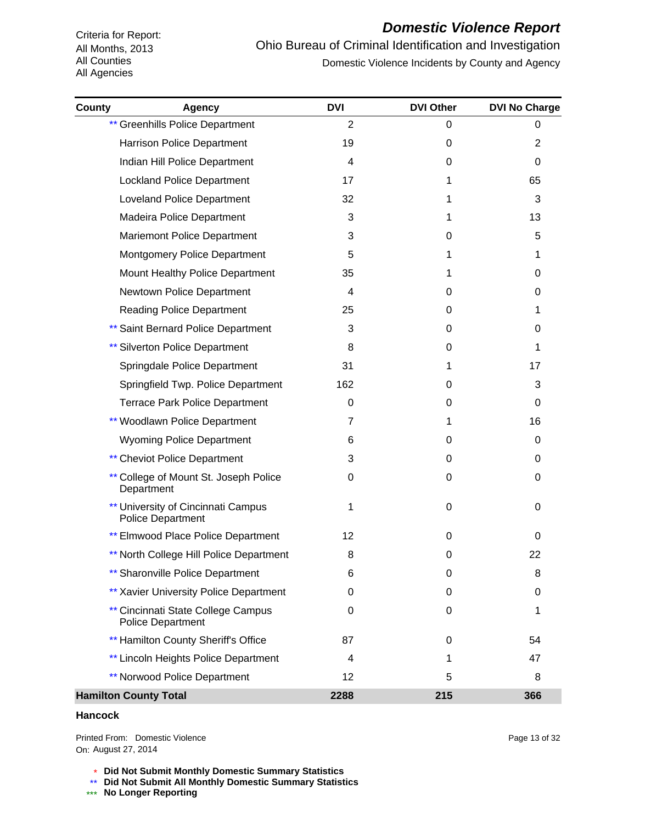#### *Domestic Violence Report*

Ohio Bureau of Criminal Identification and Investigation Domestic Violence Incidents by County and Agency

| County | <b>Agency</b>                                                  | <b>DVI</b>     | <b>DVI Other</b> | <b>DVI No Charge</b> |
|--------|----------------------------------------------------------------|----------------|------------------|----------------------|
|        | <b>** Greenhills Police Department</b>                         | $\overline{2}$ | 0                | 0                    |
|        | Harrison Police Department                                     | 19             | 0                | 2                    |
|        | Indian Hill Police Department                                  | 4              | 0                | 0                    |
|        | <b>Lockland Police Department</b>                              | 17             | 1                | 65                   |
|        | <b>Loveland Police Department</b>                              | 32             | 1                | 3                    |
|        | Madeira Police Department                                      | 3              | 1                | 13                   |
|        | <b>Mariemont Police Department</b>                             | 3              | 0                | 5                    |
|        | <b>Montgomery Police Department</b>                            | 5              | 1                | 1                    |
|        | Mount Healthy Police Department                                | 35             | 1                | 0                    |
|        | Newtown Police Department                                      | 4              | 0                | 0                    |
|        | <b>Reading Police Department</b>                               | 25             | 0                | 1                    |
|        | ** Saint Bernard Police Department                             | 3              | 0                | 0                    |
|        | ** Silverton Police Department                                 | 8              | 0                | 1                    |
|        | Springdale Police Department                                   | 31             | 1                | 17                   |
|        | Springfield Twp. Police Department                             | 162            | 0                | 3                    |
|        | <b>Terrace Park Police Department</b>                          | 0              | 0                | 0                    |
|        | ** Woodlawn Police Department                                  | 7              | 1                | 16                   |
|        | <b>Wyoming Police Department</b>                               | 6              | 0                | 0                    |
|        | <b>** Cheviot Police Department</b>                            | 3              | 0                | 0                    |
|        | ** College of Mount St. Joseph Police<br>Department            | 0              | 0                | 0                    |
|        | ** University of Cincinnati Campus<br><b>Police Department</b> | 1              | 0                | 0                    |
|        | <b>Elmwood Place Police Department</b>                         | 12             | 0                | 0                    |
|        | ** North College Hill Police Department                        | 8              | 0                | 22                   |
|        | <b>** Sharonville Police Department</b>                        | 6              | 0                | 8                    |
|        | ** Xavier University Police Department                         | 0              | 0                | 0                    |
|        | ** Cincinnati State College Campus<br><b>Police Department</b> | 0              | 0                |                      |
|        | ** Hamilton County Sheriff's Office                            | 87             | 0                | 54                   |
|        | ** Lincoln Heights Police Department                           | 4              | 1                | 47                   |
|        | <b>** Norwood Police Department</b>                            | 12             | 5                | 8                    |
|        | <b>Hamilton County Total</b>                                   | 2288           | 215              | 366                  |

#### **Hancock**

On: August 27, 2014Printed From: Domestic Violence

\* **Did Not Submit Monthly Domestic Summary Statistics**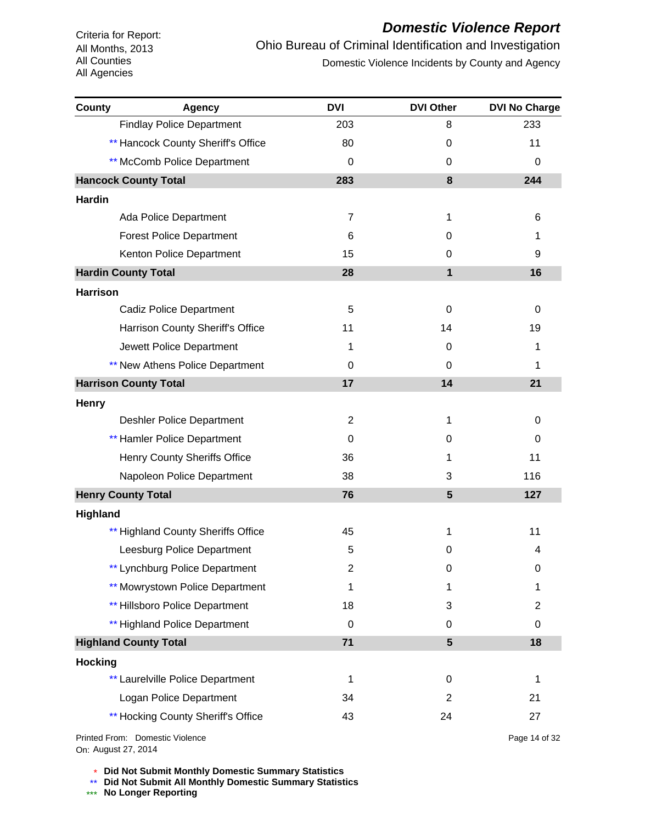# *Domestic Violence Report*

Ohio Bureau of Criminal Identification and Investigation Domestic Violence Incidents by County and Agency

| <b>County</b>   | <b>Agency</b>                      | <b>DVI</b>     | <b>DVI Other</b> | <b>DVI No Charge</b> |
|-----------------|------------------------------------|----------------|------------------|----------------------|
|                 | <b>Findlay Police Department</b>   | 203            | 8                | 233                  |
|                 | ** Hancock County Sheriff's Office | 80             | 0                | 11                   |
|                 | ** McComb Police Department        | 0              | 0                | 0                    |
|                 | <b>Hancock County Total</b>        | 283            | 8                | 244                  |
| <b>Hardin</b>   |                                    |                |                  |                      |
|                 | Ada Police Department              | $\overline{7}$ | 1                | 6                    |
|                 | <b>Forest Police Department</b>    | 6              | 0                | 1                    |
|                 | Kenton Police Department           | 15             | 0                | 9                    |
|                 | <b>Hardin County Total</b>         | 28             | $\mathbf{1}$     | 16                   |
| <b>Harrison</b> |                                    |                |                  |                      |
|                 | <b>Cadiz Police Department</b>     | 5              | 0                | 0                    |
|                 | Harrison County Sheriff's Office   | 11             | 14               | 19                   |
|                 | Jewett Police Department           | 1              | 0                | 1                    |
|                 | ** New Athens Police Department    | 0              | $\Omega$         | 1                    |
|                 | <b>Harrison County Total</b>       | 17             | 14               | 21                   |
| <b>Henry</b>    |                                    |                |                  |                      |
|                 | <b>Deshler Police Department</b>   | 2              | 1                | 0                    |
|                 | <b>** Hamler Police Department</b> | 0              | 0                | 0                    |
|                 | Henry County Sheriffs Office       | 36             | 1                | 11                   |
|                 | Napoleon Police Department         | 38             | 3                | 116                  |
|                 | <b>Henry County Total</b>          | 76             | $5\phantom{1}$   | 127                  |
| Highland        |                                    |                |                  |                      |
|                 | ** Highland County Sheriffs Office | 45             | 1                | 11                   |
|                 | Leesburg Police Department         | 5              | 0                | 4                    |
|                 | ** Lynchburg Police Department     | $\overline{2}$ | 0                | 0                    |
|                 | ** Mowrystown Police Department    | 1              | 1                | 1                    |
|                 | ** Hillsboro Police Department     | 18             | 3                | $\overline{c}$       |
|                 | ** Highland Police Department      | 0              | 0                | 0                    |
|                 | <b>Highland County Total</b>       | 71             | $5\phantom{1}$   | 18                   |
| <b>Hocking</b>  |                                    |                |                  |                      |
|                 | ** Laurelville Police Department   | 1              | 0                | 1                    |
|                 | Logan Police Department            | 34             | $\overline{2}$   | 21                   |
|                 | ** Hocking County Sheriff's Office | 43             | 24               | 27                   |
|                 |                                    |                |                  |                      |

On: August 27, 2014Printed From: Domestic Violence Page 14 of 32

\* **Did Not Submit Monthly Domestic Summary Statistics**

**Did Not Submit All Monthly Domestic Summary Statistics**

<u>\*\*</u> Did Not Submit All M®<br><mark>\*\*\*</mark> No Longer Reporting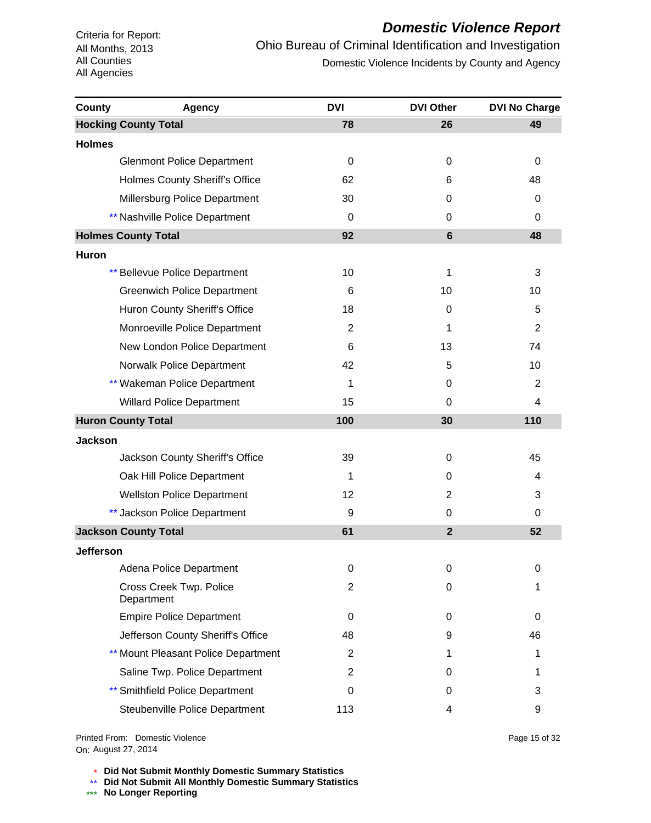#### *Domestic Violence Report*

Ohio Bureau of Criminal Identification and Investigation Domestic Violence Incidents by County and Agency

| County           | <b>Agency</b>                          | <b>DVI</b> | <b>DVI Other</b> | <b>DVI No Charge</b> |
|------------------|----------------------------------------|------------|------------------|----------------------|
|                  | <b>Hocking County Total</b>            | 78         | 26               | 49                   |
| <b>Holmes</b>    |                                        |            |                  |                      |
|                  | <b>Glenmont Police Department</b>      | 0          | 0                | 0                    |
|                  | Holmes County Sheriff's Office         | 62         | 6                | 48                   |
|                  | Millersburg Police Department          | 30         | 0                | 0                    |
|                  | ** Nashville Police Department         | 0          | 0                | 0                    |
|                  | <b>Holmes County Total</b>             | 92         | $6\phantom{1}$   | 48                   |
| Huron            |                                        |            |                  |                      |
|                  | <b>** Bellevue Police Department</b>   | 10         | 1                | 3                    |
|                  | <b>Greenwich Police Department</b>     | 6          | 10               | 10                   |
|                  | Huron County Sheriff's Office          | 18         | 0                | 5                    |
|                  | Monroeville Police Department          | 2          | 1                | $\overline{2}$       |
|                  | New London Police Department           | 6          | 13               | 74                   |
|                  | Norwalk Police Department              | 42         | 5                | 10                   |
|                  | ** Wakeman Police Department           | 1          | 0                | $\overline{2}$       |
|                  | <b>Willard Police Department</b>       | 15         | 0                | 4                    |
|                  | <b>Huron County Total</b>              | 100        | 30               | 110                  |
| <b>Jackson</b>   |                                        |            |                  |                      |
|                  | Jackson County Sheriff's Office        | 39         | 0                | 45                   |
|                  | Oak Hill Police Department             | 1          | 0                | 4                    |
|                  | <b>Wellston Police Department</b>      | 12         | 2                | 3                    |
|                  | ** Jackson Police Department           | 9          | 0                | 0                    |
|                  | <b>Jackson County Total</b>            | 61         | $\overline{2}$   | 52                   |
| <b>Jefferson</b> |                                        |            |                  |                      |
|                  | Adena Police Department                | 0          | 0                | 0                    |
|                  | Cross Creek Twp. Police<br>Department  | 2          | 0                | 1                    |
|                  | <b>Empire Police Department</b>        | 0          | 0                | 0                    |
|                  | Jefferson County Sheriff's Office      | 48         | 9                | 46                   |
|                  | ** Mount Pleasant Police Department    | 2          | 1                | 1                    |
|                  | Saline Twp. Police Department          | 2          | 0                | 1                    |
|                  | <b>** Smithfield Police Department</b> | 0          | 0                | 3                    |
|                  | Steubenville Police Department         | 113        | 4                | 9                    |

On: August 27, 2014Printed From: Domestic Violence Page 15 of 32

\* **Did Not Submit Monthly Domestic Summary Statistics**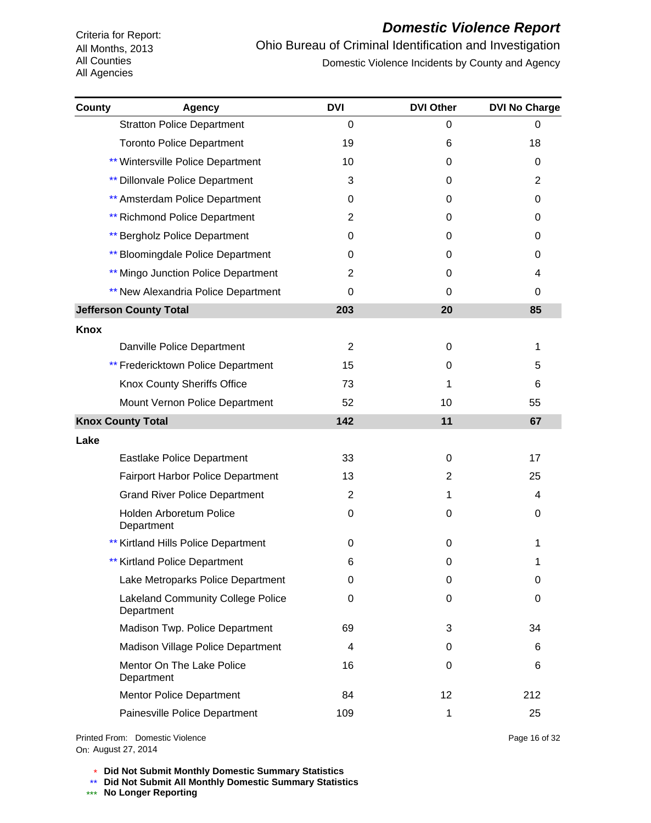# *Domestic Violence Report*

Ohio Bureau of Criminal Identification and Investigation Domestic Violence Incidents by County and Agency

| <b>County</b> | <b>Agency</b>                                          | <b>DVI</b>     | <b>DVI Other</b> | <b>DVI No Charge</b> |
|---------------|--------------------------------------------------------|----------------|------------------|----------------------|
|               | <b>Stratton Police Department</b>                      | 0              | 0                | 0                    |
|               | <b>Toronto Police Department</b>                       | 19             | 6                | 18                   |
|               | ** Wintersville Police Department                      | 10             | 0                | 0                    |
|               | ** Dillonvale Police Department                        | 3              | 0                | $\overline{c}$       |
|               | ** Amsterdam Police Department                         | 0              | 0                | 0                    |
|               | <b>** Richmond Police Department</b>                   | 2              | 0                | 0                    |
|               | ** Bergholz Police Department                          | 0              | 0                | 0                    |
|               | ** Bloomingdale Police Department                      | 0              | 0                | 0                    |
|               | ** Mingo Junction Police Department                    | 2              | 0                | 4                    |
|               | ** New Alexandria Police Department                    | 0              | 0                | 0                    |
|               | <b>Jefferson County Total</b>                          | 203            | 20               | 85                   |
| <b>Knox</b>   |                                                        |                |                  |                      |
|               | Danville Police Department                             | $\overline{2}$ | 0                | 1                    |
|               | ** Fredericktown Police Department                     | 15             | 0                | 5                    |
|               | Knox County Sheriffs Office                            | 73             | 1                | 6                    |
|               | Mount Vernon Police Department                         | 52             | 10               | 55                   |
|               | <b>Knox County Total</b>                               | 142            | 11               | 67                   |
| Lake          |                                                        |                |                  |                      |
|               | Eastlake Police Department                             | 33             | 0                | 17                   |
|               | <b>Fairport Harbor Police Department</b>               | 13             | 2                | 25                   |
|               | <b>Grand River Police Department</b>                   | $\overline{2}$ | 1                | 4                    |
|               | Holden Arboretum Police<br>Department                  | 0              | 0                | 0                    |
|               | ** Kirtland Hills Police Department                    | 0              | 0                | 1                    |
|               | ** Kirtland Police Department                          | 6              | 0                | 1                    |
|               | Lake Metroparks Police Department                      | 0              | 0                | 0                    |
|               | <b>Lakeland Community College Police</b><br>Department | 0              | 0                | 0                    |
|               | Madison Twp. Police Department                         | 69             | 3                | 34                   |
|               | Madison Village Police Department                      | 4              | 0                | 6                    |
|               | Mentor On The Lake Police<br>Department                | 16             | 0                | 6                    |
|               | <b>Mentor Police Department</b>                        | 84             | 12 <sup>2</sup>  | 212                  |
|               | Painesville Police Department                          | 109            | 1                | 25                   |
|               |                                                        |                |                  |                      |

On: August 27, 2014Printed From: Domestic Violence Page 16 of 32

\* **Did Not Submit Monthly Domestic Summary Statistics**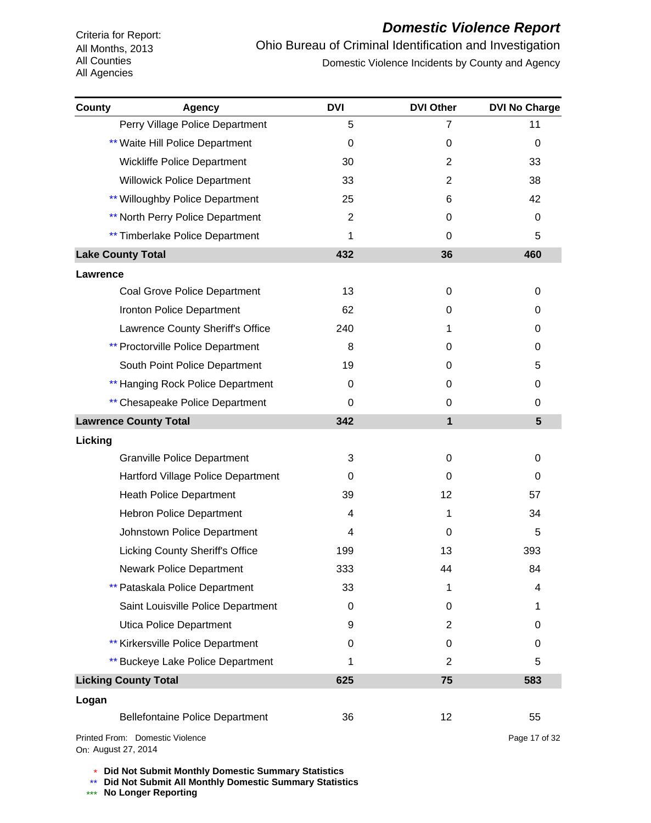# *Domestic Violence Report*

Ohio Bureau of Criminal Identification and Investigation Domestic Violence Incidents by County and Agency

| County          | <b>Agency</b>                            | <b>DVI</b>     | <b>DVI Other</b> | <b>DVI No Charge</b> |
|-----------------|------------------------------------------|----------------|------------------|----------------------|
|                 | Perry Village Police Department          | 5              | 7                | 11                   |
|                 | ** Waite Hill Police Department          | 0              | 0                | 0                    |
|                 | Wickliffe Police Department              | 30             | 2                | 33                   |
|                 | <b>Willowick Police Department</b>       | 33             | 2                | 38                   |
|                 | ** Willoughby Police Department          | 25             | 6                | 42                   |
|                 | <b>** North Perry Police Department</b>  | $\overline{2}$ | 0                | 0                    |
|                 | ** Timberlake Police Department          | 1              | 0                | 5                    |
|                 | <b>Lake County Total</b>                 | 432            | 36               | 460                  |
| <b>Lawrence</b> |                                          |                |                  |                      |
|                 | Coal Grove Police Department             | 13             | 0                | 0                    |
|                 | Ironton Police Department                | 62             | 0                | 0                    |
|                 | Lawrence County Sheriff's Office         | 240            | 1                | 0                    |
|                 | <b>** Proctorville Police Department</b> | 8              | 0                | 0                    |
|                 | South Point Police Department            | 19             | 0                | 5                    |
|                 | ** Hanging Rock Police Department        | 0              | 0                | 0                    |
|                 | ** Chesapeake Police Department          | 0              | 0                | 0                    |
|                 | <b>Lawrence County Total</b>             | 342            | $\mathbf{1}$     | 5                    |
| Licking         |                                          |                |                  |                      |
|                 | <b>Granville Police Department</b>       | 3              | 0                | 0                    |
|                 | Hartford Village Police Department       | 0              | 0                | 0                    |
|                 | <b>Heath Police Department</b>           | 39             | 12 <sup>2</sup>  | 57                   |
|                 | <b>Hebron Police Department</b>          | 4              | 1                | 34                   |
|                 | Johnstown Police Department              | 4              | 0                | 5                    |
|                 | <b>Licking County Sheriff's Office</b>   | 199            | 13               | 393                  |
|                 | <b>Newark Police Department</b>          | 333            | 44               | 84                   |
|                 | ** Pataskala Police Department           | 33             | 1                | 4                    |
|                 | Saint Louisville Police Department       | 0              | 0                | 1                    |
|                 | Utica Police Department                  | 9              | $\overline{2}$   | 0                    |
|                 | ** Kirkersville Police Department        | 0              | 0                | 0                    |
|                 | ** Buckeye Lake Police Department        | 1              | $\overline{c}$   | 5                    |
|                 | <b>Licking County Total</b>              | 625            | 75               | 583                  |
| Logan           |                                          |                |                  |                      |
|                 | <b>Bellefontaine Police Department</b>   | 36             | 12               | 55                   |
|                 | Printed From: Domestic Violence          |                |                  | Page 17 of 32        |

On: August 27, 2014

\* **Did Not Submit Monthly Domestic Summary Statistics**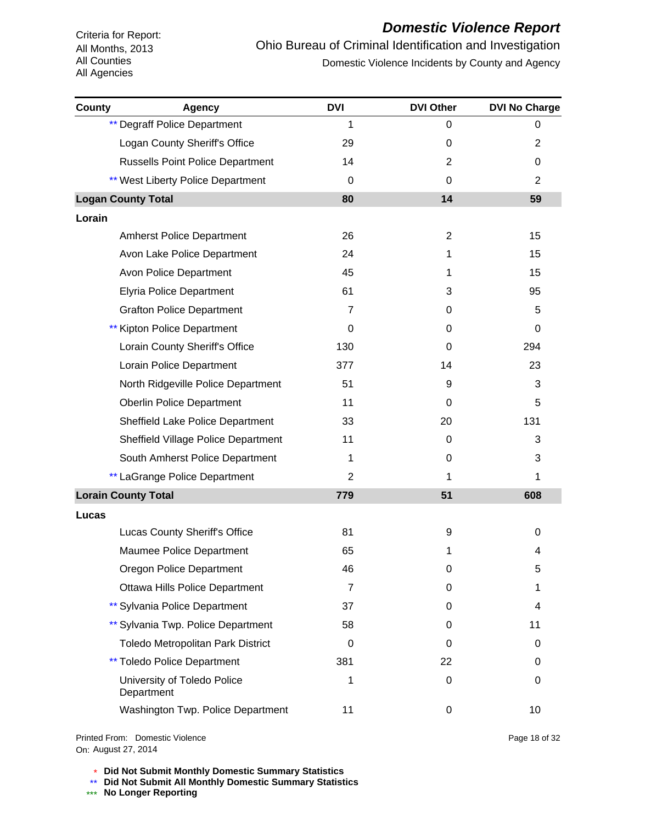# *Domestic Violence Report*

Ohio Bureau of Criminal Identification and Investigation Domestic Violence Incidents by County and Agency

| <b>County</b> | <b>Agency</b>                             | <b>DVI</b>     | <b>DVI Other</b> | <b>DVI No Charge</b> |
|---------------|-------------------------------------------|----------------|------------------|----------------------|
|               | <b>** Degraff Police Department</b>       | 1              | 0                | 0                    |
|               | Logan County Sheriff's Office             | 29             | 0                | $\overline{c}$       |
|               | <b>Russells Point Police Department</b>   | 14             | $\overline{2}$   | 0                    |
|               | ** West Liberty Police Department         | 0              | 0                | 2                    |
|               | <b>Logan County Total</b>                 | 80             | 14               | 59                   |
| Lorain        |                                           |                |                  |                      |
|               | <b>Amherst Police Department</b>          | 26             | $\overline{2}$   | 15                   |
|               | Avon Lake Police Department               | 24             | 1                | 15                   |
|               | Avon Police Department                    | 45             | 1                | 15                   |
|               | <b>Elyria Police Department</b>           | 61             | 3                | 95                   |
|               | <b>Grafton Police Department</b>          | $\overline{7}$ | 0                | 5                    |
|               | Kipton Police Department                  | 0              | 0                | 0                    |
|               | Lorain County Sheriff's Office            | 130            | 0                | 294                  |
|               | Lorain Police Department                  | 377            | 14               | 23                   |
|               | North Ridgeville Police Department        | 51             | 9                | 3                    |
|               | <b>Oberlin Police Department</b>          | 11             | 0                | 5                    |
|               | Sheffield Lake Police Department          | 33             | 20               | 131                  |
|               | Sheffield Village Police Department       | 11             | 0                | 3                    |
|               | South Amherst Police Department           | 1              | 0                | 3                    |
|               | ** LaGrange Police Department             | $\overline{2}$ | 1                | 1                    |
|               | <b>Lorain County Total</b>                | 779            | 51               | 608                  |
| Lucas         |                                           |                |                  |                      |
|               | Lucas County Sheriff's Office             | 81             | 9                | 0                    |
|               | Maumee Police Department                  | 65             | 1                | 4                    |
|               | Oregon Police Department                  | 46             | 0                | 5                    |
|               | <b>Ottawa Hills Police Department</b>     | $\overline{7}$ | 0                | 1                    |
|               | ** Sylvania Police Department             | 37             | 0                | 4                    |
|               | ** Sylvania Twp. Police Department        | 58             | 0                | 11                   |
|               | Toledo Metropolitan Park District         | 0              | 0                | 0                    |
|               | <b>** Toledo Police Department</b>        | 381            | 22               | 0                    |
|               | University of Toledo Police<br>Department | 1              | 0                | 0                    |
|               | Washington Twp. Police Department         | 11             | 0                | 10                   |

On: August 27, 2014Printed From: Domestic Violence Page 18 of 32

\* **Did Not Submit Monthly Domestic Summary Statistics**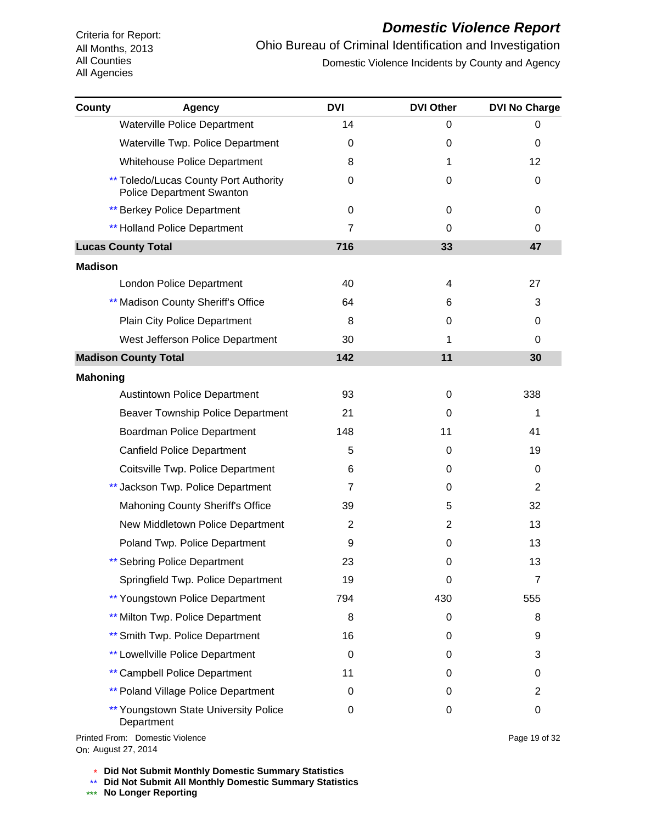# *Domestic Violence Report*

Ohio Bureau of Criminal Identification and Investigation Domestic Violence Incidents by County and Agency

| County          | <b>Agency</b>                                                                    | <b>DVI</b>     | <b>DVI Other</b> | <b>DVI No Charge</b> |
|-----------------|----------------------------------------------------------------------------------|----------------|------------------|----------------------|
|                 | Waterville Police Department                                                     | 14             | 0                | 0                    |
|                 | Waterville Twp. Police Department                                                | 0              | 0                | 0                    |
|                 | <b>Whitehouse Police Department</b>                                              | 8              | 1                | 12                   |
|                 | <b>** Toledo/Lucas County Port Authority</b><br><b>Police Department Swanton</b> | 0              | 0                | 0                    |
|                 | <b>** Berkey Police Department</b>                                               | 0              | 0                | 0                    |
|                 | <b>** Holland Police Department</b>                                              | $\overline{7}$ | 0                | 0                    |
|                 | <b>Lucas County Total</b>                                                        | 716            | 33               | 47                   |
| <b>Madison</b>  |                                                                                  |                |                  |                      |
|                 | London Police Department                                                         | 40             | 4                | 27                   |
|                 | ** Madison County Sheriff's Office                                               | 64             | 6                | 3                    |
|                 | <b>Plain City Police Department</b>                                              | 8              | 0                | 0                    |
|                 | West Jefferson Police Department                                                 | 30             | 1                | 0                    |
|                 | <b>Madison County Total</b>                                                      | 142            | 11               | 30                   |
| <b>Mahoning</b> |                                                                                  |                |                  |                      |
|                 | <b>Austintown Police Department</b>                                              | 93             | 0                | 338                  |
|                 | <b>Beaver Township Police Department</b>                                         | 21             | 0                | 1                    |
|                 | Boardman Police Department                                                       | 148            | 11               | 41                   |
|                 | <b>Canfield Police Department</b>                                                | 5              | 0                | 19                   |
|                 | Coitsville Twp. Police Department                                                | 6              | 0                | 0                    |
|                 | ** Jackson Twp. Police Department                                                | 7              | 0                | $\overline{2}$       |
|                 | <b>Mahoning County Sheriff's Office</b>                                          | 39             | 5                | 32                   |
|                 | New Middletown Police Department                                                 | 2              | $\overline{2}$   | 13                   |
|                 | Poland Twp. Police Department                                                    | 9              | $\Omega$         | 13                   |
|                 | ** Sebring Police Department                                                     | 23             | 0                | 13                   |
|                 | Springfield Twp. Police Department                                               | 19             | 0                | $\overline{7}$       |
|                 | ** Youngstown Police Department                                                  | 794            | 430              | 555                  |
|                 | ** Milton Twp. Police Department                                                 | 8              | 0                | 8                    |
|                 | ** Smith Twp. Police Department                                                  | 16             | 0                | 9                    |
|                 | <b>** Lowellville Police Department</b>                                          | 0              | 0                | 3                    |
|                 | ** Campbell Police Department                                                    | 11             | 0                | 0                    |
|                 | <b>** Poland Village Police Department</b>                                       | 0              | 0                | 2                    |
|                 | ** Youngstown State University Police<br>Department                              | 0              | 0                | 0                    |

On: August 27, 2014Printed From: Domestic Violence

\* **Did Not Submit Monthly Domestic Summary Statistics**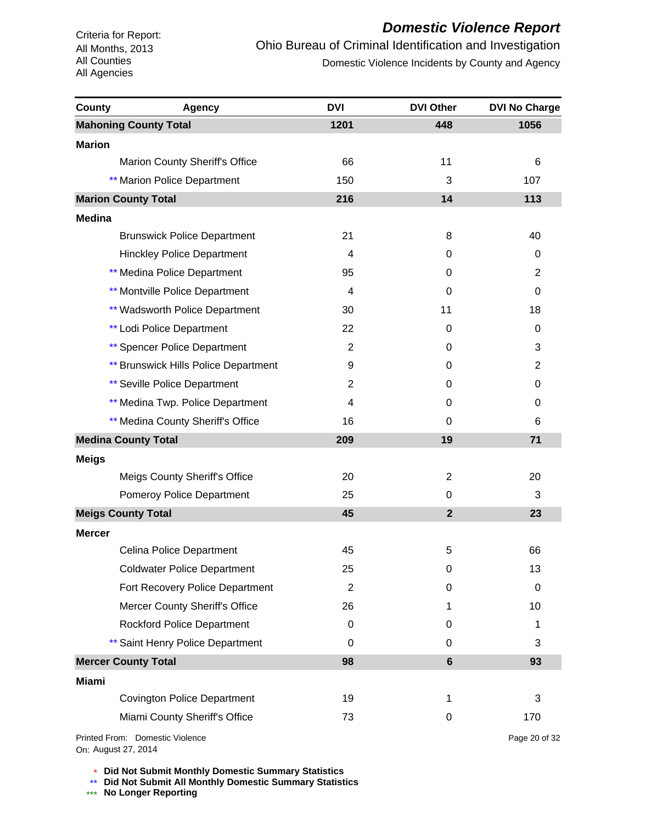# *Domestic Violence Report*

Ohio Bureau of Criminal Identification and Investigation Domestic Violence Incidents by County and Agency

| County        | <b>Agency</b>                               | <b>DVI</b>     | <b>DVI Other</b> | <b>DVI No Charge</b> |
|---------------|---------------------------------------------|----------------|------------------|----------------------|
|               | <b>Mahoning County Total</b>                | 1201           | 448              | 1056                 |
| <b>Marion</b> |                                             |                |                  |                      |
|               | Marion County Sheriff's Office              | 66             | 11               | 6                    |
|               | <b>** Marion Police Department</b>          | 150            | 3                | 107                  |
|               | <b>Marion County Total</b>                  | 216            | 14               | 113                  |
| <b>Medina</b> |                                             |                |                  |                      |
|               | <b>Brunswick Police Department</b>          | 21             | 8                | 40                   |
|               | <b>Hinckley Police Department</b>           | 4              | 0                | 0                    |
|               | ** Medina Police Department                 | 95             | 0                | 2                    |
|               | <b>** Montville Police Department</b>       | 4              | 0                | 0                    |
|               | <b>** Wadsworth Police Department</b>       | 30             | 11               | 18                   |
|               | <b>** Lodi Police Department</b>            | 22             | 0                | 0                    |
|               | <b>** Spencer Police Department</b>         | $\overline{2}$ | 0                | 3                    |
|               | <b>** Brunswick Hills Police Department</b> | 9              | 0                | $\overline{2}$       |
|               | <b>** Seville Police Department</b>         | 2              | 0                | 0                    |
|               | ** Medina Twp. Police Department            | 4              | 0                | 0                    |
|               | ** Medina County Sheriff's Office           | 16             | 0                | 6                    |
|               | <b>Medina County Total</b>                  | 209            | 19               | 71                   |
| <b>Meigs</b>  |                                             |                |                  |                      |
|               | Meigs County Sheriff's Office               | 20             | $\overline{c}$   | 20                   |
|               | Pomeroy Police Department                   | 25             | 0                | 3                    |
|               | <b>Meigs County Total</b>                   | 45             | $\overline{2}$   | 23                   |
| <b>Mercer</b> |                                             |                |                  |                      |
|               | Celina Police Department                    | 45             | 5                | 66                   |
|               | <b>Coldwater Police Department</b>          | 25             | 0                | 13                   |
|               | Fort Recovery Police Department             | $\overline{2}$ | 0                | 0                    |
|               | Mercer County Sheriff's Office              | 26             | 1                | 10                   |
|               | <b>Rockford Police Department</b>           | 0              | 0                | 1                    |
|               | ** Saint Henry Police Department            | 0              | 0                | 3                    |
|               | <b>Mercer County Total</b>                  | 98             | $6\phantom{a}$   | 93                   |
| <b>Miami</b>  |                                             |                |                  |                      |
|               | <b>Covington Police Department</b>          | 19             | 1                | 3                    |
|               | Miami County Sheriff's Office               | 73             | 0                | 170                  |
|               | Printed From: Domestic Violence             |                |                  | Page 20 of 32        |

On: August 27, 2014

Page 20 of 32

\* **Did Not Submit Monthly Domestic Summary Statistics**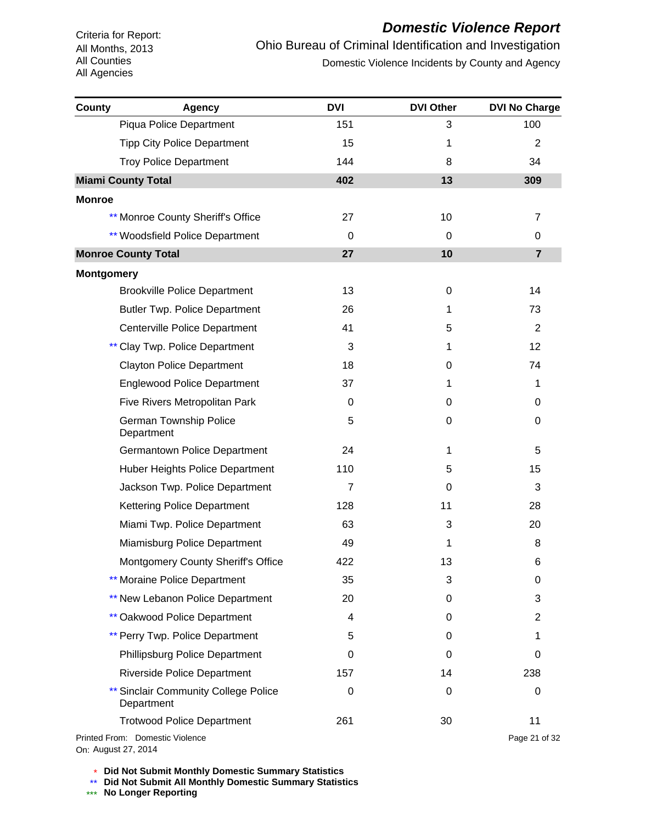# *Domestic Violence Report*

Ohio Bureau of Criminal Identification and Investigation Domestic Violence Incidents by County and Agency

| County            | <b>Agency</b>                                          | <b>DVI</b>     | <b>DVI Other</b> | <b>DVI No Charge</b> |
|-------------------|--------------------------------------------------------|----------------|------------------|----------------------|
|                   | Piqua Police Department                                | 151            | 3                | 100                  |
|                   | <b>Tipp City Police Department</b>                     | 15             | 1                | 2                    |
|                   | <b>Troy Police Department</b>                          | 144            | 8                | 34                   |
|                   | <b>Miami County Total</b>                              | 402            | 13               | 309                  |
| <b>Monroe</b>     |                                                        |                |                  |                      |
|                   | ** Monroe County Sheriff's Office                      | 27             | 10               | 7                    |
|                   | <b>** Woodsfield Police Department</b>                 | 0              | 0                | 0                    |
|                   | <b>Monroe County Total</b>                             | 27             | 10               | $\overline{7}$       |
| <b>Montgomery</b> |                                                        |                |                  |                      |
|                   | <b>Brookville Police Department</b>                    | 13             | 0                | 14                   |
|                   | <b>Butler Twp. Police Department</b>                   | 26             | 1                | 73                   |
|                   | Centerville Police Department                          | 41             | 5                | 2                    |
|                   | ** Clay Twp. Police Department                         | 3              | 1                | 12                   |
|                   | <b>Clayton Police Department</b>                       | 18             | 0                | 74                   |
|                   | <b>Englewood Police Department</b>                     | 37             | 1                | 1                    |
|                   | Five Rivers Metropolitan Park                          | 0              | 0                | 0                    |
|                   | German Township Police<br>Department                   | 5              | 0                | 0                    |
|                   | Germantown Police Department                           | 24             | 1                | 5                    |
|                   | Huber Heights Police Department                        | 110            | 5                | 15                   |
|                   | Jackson Twp. Police Department                         | $\overline{7}$ | 0                | 3                    |
|                   | Kettering Police Department                            | 128            | 11               | 28                   |
|                   | Miami Twp. Police Department                           | 63             | 3                | 20                   |
|                   | Miamisburg Police Department                           | 49             | 1                | 8                    |
|                   | Montgomery County Sheriff's Office                     | 422            | 13               | 6                    |
|                   | ** Moraine Police Department                           | 35             | 3                | 0                    |
|                   | ** New Lebanon Police Department                       | 20             | 0                | 3                    |
|                   | <b>** Oakwood Police Department</b>                    | 4              | 0                | $\overline{c}$       |
|                   | ** Perry Twp. Police Department                        | 5              | 0                | 1                    |
|                   | Phillipsburg Police Department                         | 0              | 0                | 0                    |
|                   | <b>Riverside Police Department</b>                     | 157            | 14               | 238                  |
|                   | ** Sinclair Community College Police<br>Department     | $\mathbf 0$    | 0                | 0                    |
|                   | <b>Trotwood Police Department</b>                      | 261            | 30               | 11                   |
|                   | Printed From: Domestic Violence<br>On: August 27, 2014 |                |                  | Page 21 of 32        |

\* **Did Not Submit Monthly Domestic Summary Statistics**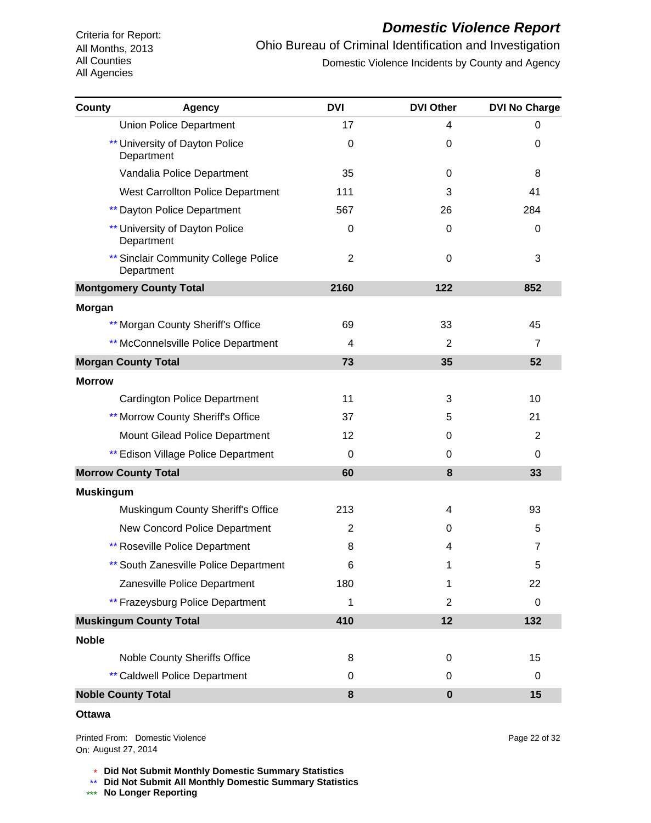#### *Domestic Violence Report*

Ohio Bureau of Criminal Identification and Investigation Domestic Violence Incidents by County and Agency

| <b>County</b>    | Agency                                              | <b>DVI</b>     | <b>DVI Other</b> | <b>DVI No Charge</b> |
|------------------|-----------------------------------------------------|----------------|------------------|----------------------|
|                  | <b>Union Police Department</b>                      | 17             | 4                | 0                    |
|                  | University of Dayton Police<br>Department           | 0              | 0                | 0                    |
|                  | Vandalia Police Department                          | 35             | 0                | 8                    |
|                  | West Carrollton Police Department                   | 111            | 3                | 41                   |
|                  | <b>** Dayton Police Department</b>                  | 567            | 26               | 284                  |
|                  | <b>** University of Dayton Police</b><br>Department | $\mathbf 0$    | 0                | $\Omega$             |
|                  | ** Sinclair Community College Police<br>Department  | $\overline{2}$ | 0                | 3                    |
|                  | <b>Montgomery County Total</b>                      | 2160           | 122              | 852                  |
| <b>Morgan</b>    |                                                     |                |                  |                      |
|                  | ** Morgan County Sheriff's Office                   | 69             | 33               | 45                   |
|                  | ** McConnelsville Police Department                 | 4              | $\overline{2}$   | 7                    |
|                  | <b>Morgan County Total</b>                          | 73             | 35               | 52                   |
| <b>Morrow</b>    |                                                     |                |                  |                      |
|                  | <b>Cardington Police Department</b>                 | 11             | 3                | 10                   |
|                  | ** Morrow County Sheriff's Office                   | 37             | 5                | 21                   |
|                  | Mount Gilead Police Department                      | 12             | 0                | 2                    |
|                  | ** Edison Village Police Department                 | 0              | 0                | 0                    |
|                  | <b>Morrow County Total</b>                          | 60             | 8                | 33                   |
| <b>Muskingum</b> |                                                     |                |                  |                      |
|                  | Muskingum County Sheriff's Office                   | 213            | 4                | 93                   |
|                  | New Concord Police Department                       | $\overline{2}$ | 0                | 5                    |
|                  | <b>** Roseville Police Department</b>               | 8              | 4                | $\overline{7}$       |
|                  | ** South Zanesville Police Department               | 6              | 1                | 5                    |
|                  | Zanesville Police Department                        | 180            | 1                | 22                   |
|                  | ** Frazeysburg Police Department                    | 1              | $\overline{2}$   | 0                    |
|                  | <b>Muskingum County Total</b>                       | 410            | 12               | 132                  |
| <b>Noble</b>     |                                                     |                |                  |                      |
|                  | Noble County Sheriffs Office                        | 8              | 0                | 15                   |
|                  | <b>** Caldwell Police Department</b>                | 0              | $\Omega$         | 0                    |
|                  | <b>Noble County Total</b>                           | 8              | $\bf{0}$         | 15                   |

#### **Ottawa**

On: August 27, 2014Printed From: Domestic Violence Page 22 of 32

\* **Did Not Submit Monthly Domestic Summary Statistics**

**Did Not Submit All Monthly Domestic Summary Statistics**

<u>\*\*</u> Did Not Submit All M®<br><mark>\*\*\*</mark> No Longer Reporting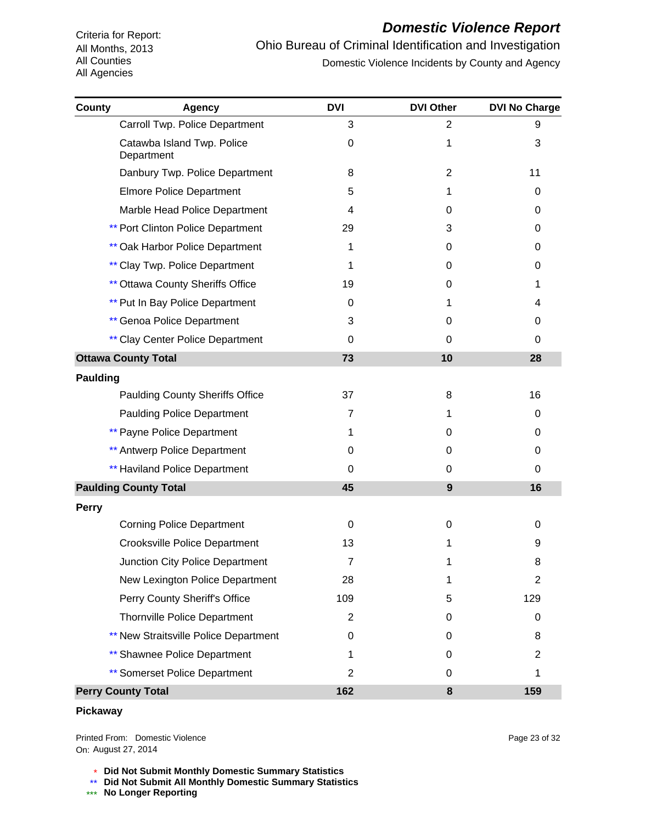#### *Domestic Violence Report*

Ohio Bureau of Criminal Identification and Investigation Domestic Violence Incidents by County and Agency

| County          | <b>Agency</b>                            | <b>DVI</b>     | <b>DVI Other</b> | <b>DVI No Charge</b> |
|-----------------|------------------------------------------|----------------|------------------|----------------------|
|                 | Carroll Twp. Police Department           | 3              | $\overline{c}$   | 9                    |
|                 | Catawba Island Twp. Police<br>Department | 0              | 1                | 3                    |
|                 | Danbury Twp. Police Department           | 8              | $\overline{2}$   | 11                   |
|                 | <b>Elmore Police Department</b>          | 5              | 1                | 0                    |
|                 | Marble Head Police Department            | $\overline{4}$ | 0                | 0                    |
|                 | <b>** Port Clinton Police Department</b> | 29             | 3                | 0                    |
|                 | <b>** Oak Harbor Police Department</b>   | 1              | 0                | 0                    |
|                 | ** Clay Twp. Police Department           | 1              | 0                | 0                    |
|                 | <b>** Ottawa County Sheriffs Office</b>  | 19             | 0                | 1                    |
|                 | <b>** Put In Bay Police Department</b>   | 0              | 1                | 4                    |
|                 | <b>** Genoa Police Department</b>        | 3              | 0                | 0                    |
|                 | ** Clay Center Police Department         | $\mathbf 0$    | 0                | 0                    |
|                 | <b>Ottawa County Total</b>               | 73             | 10               | 28                   |
| <b>Paulding</b> |                                          |                |                  |                      |
|                 | <b>Paulding County Sheriffs Office</b>   | 37             | 8                | 16                   |
|                 | <b>Paulding Police Department</b>        | 7              | 1                | 0                    |
|                 | <b>** Payne Police Department</b>        | 1              | 0                | 0                    |
|                 | ** Antwerp Police Department             | 0              | 0                | 0                    |
|                 | <b>** Haviland Police Department</b>     | 0              | 0                | 0                    |
|                 | <b>Paulding County Total</b>             | 45             | 9                | 16                   |
| <b>Perry</b>    |                                          |                |                  |                      |
|                 | <b>Corning Police Department</b>         | 0              | 0                | 0                    |
|                 | <b>Crooksville Police Department</b>     | 13             | 1                | 9                    |
|                 | Junction City Police Department          | 7              | 1                | 8                    |
|                 | New Lexington Police Department          | 28             | 1                | 2                    |
|                 | Perry County Sheriff's Office            | 109            | 5                | 129                  |
|                 | <b>Thornville Police Department</b>      | $\overline{2}$ | 0                | 0                    |
|                 | ** New Straitsville Police Department    | 0              | 0                | 8                    |
|                 | <b>** Shawnee Police Department</b>      | 1              | 0                | 2                    |
|                 | ** Somerset Police Department            | $\overline{2}$ | 0                |                      |
|                 | <b>Perry County Total</b>                | 162            | 8                | 159                  |

#### **Pickaway**

On: August 27, 2014Printed From: Domestic Violence Page 23 of 32

\* **Did Not Submit Monthly Domestic Summary Statistics**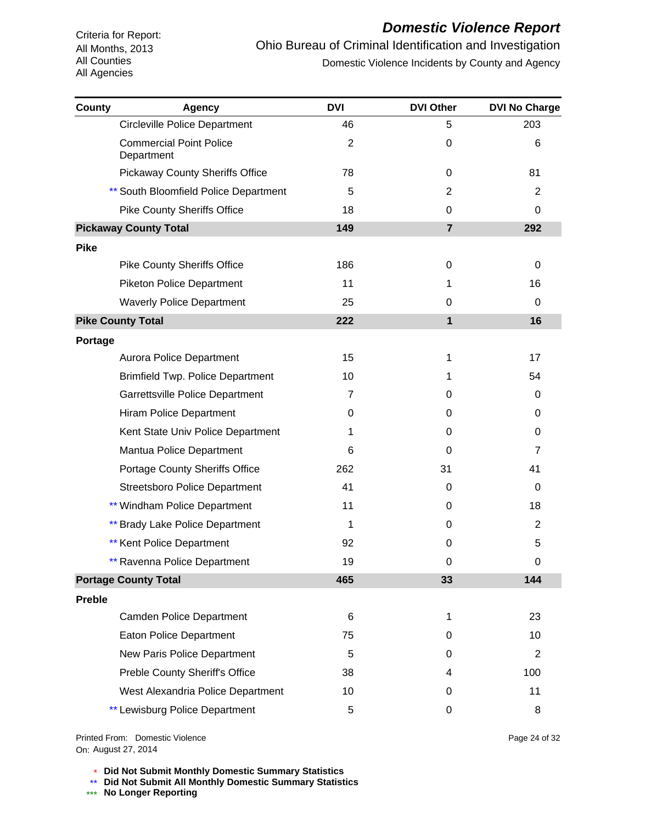#### *Domestic Violence Report*

Ohio Bureau of Criminal Identification and Investigation Domestic Violence Incidents by County and Agency

| County        | <b>Agency</b>                                | <b>DVI</b>     | <b>DVI Other</b> | <b>DVI No Charge</b> |
|---------------|----------------------------------------------|----------------|------------------|----------------------|
|               | <b>Circleville Police Department</b>         | 46             | 5                | 203                  |
|               | <b>Commercial Point Police</b><br>Department | $\overline{2}$ | 0                | 6                    |
|               | <b>Pickaway County Sheriffs Office</b>       | 78             | 0                | 81                   |
|               | ** South Bloomfield Police Department        | 5              | 2                | 2                    |
|               | <b>Pike County Sheriffs Office</b>           | 18             | 0                | 0                    |
|               | <b>Pickaway County Total</b>                 | 149            | $\overline{7}$   | 292                  |
| <b>Pike</b>   |                                              |                |                  |                      |
|               | <b>Pike County Sheriffs Office</b>           | 186            | 0                | 0                    |
|               | <b>Piketon Police Department</b>             | 11             | 1                | 16                   |
|               | <b>Waverly Police Department</b>             | 25             | 0                | 0                    |
|               | <b>Pike County Total</b>                     | 222            | 1                | 16                   |
| Portage       |                                              |                |                  |                      |
|               | Aurora Police Department                     | 15             | 1                | 17                   |
|               | <b>Brimfield Twp. Police Department</b>      | 10             | 1                | 54                   |
|               | Garrettsville Police Department              | 7              | 0                | 0                    |
|               | Hiram Police Department                      | 0              | 0                | 0                    |
|               | Kent State Univ Police Department            | 1              | 0                | 0                    |
|               | Mantua Police Department                     | 6              | 0                | 7                    |
|               | <b>Portage County Sheriffs Office</b>        | 262            | 31               | 41                   |
|               | <b>Streetsboro Police Department</b>         | 41             | 0                | 0                    |
|               | ** Windham Police Department                 | 11             | 0                | 18                   |
|               | ** Brady Lake Police Department              | 1              | 0                | 2                    |
|               | ** Kent Police Department                    | 92             | 0                | 5                    |
|               | <b>** Ravenna Police Department</b>          | 19             | 0                | 0                    |
|               | <b>Portage County Total</b>                  | 465            | 33               | 144                  |
| <b>Preble</b> |                                              |                |                  |                      |
|               | Camden Police Department                     | 6              | 1                | 23                   |
|               | Eaton Police Department                      | 75             | 0                | 10                   |
|               | New Paris Police Department                  | 5              | 0                | $\overline{2}$       |
|               | Preble County Sheriff's Office               | 38             | 4                | 100                  |
|               | West Alexandria Police Department            | 10             | 0                | 11                   |
|               | ** Lewisburg Police Department               | 5              | 0                | 8                    |

On: August 27, 2014Printed From: Domestic Violence Page 24 of 32

\* **Did Not Submit Monthly Domestic Summary Statistics**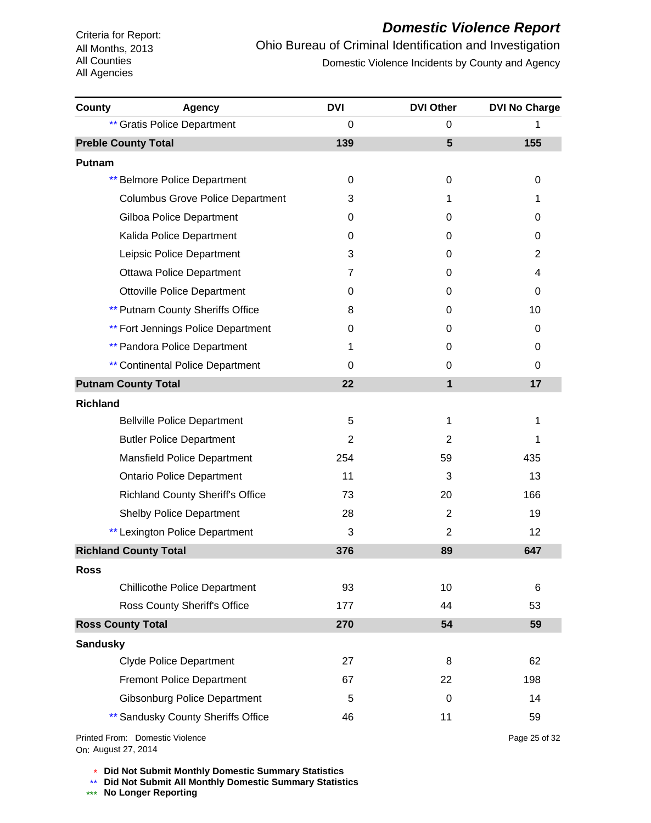# *Domestic Violence Report*

Ohio Bureau of Criminal Identification and Investigation Domestic Violence Incidents by County and Agency

| County          | <b>Agency</b>                             | <b>DVI</b>     | <b>DVI Other</b> | <b>DVI No Charge</b> |
|-----------------|-------------------------------------------|----------------|------------------|----------------------|
|                 | <b>** Gratis Police Department</b>        | 0              | 0                | 1                    |
|                 | <b>Preble County Total</b>                | 139            | $5\phantom{1}$   | 155                  |
| Putnam          |                                           |                |                  |                      |
|                 | <b>** Belmore Police Department</b>       | 0              | 0                | 0                    |
|                 | <b>Columbus Grove Police Department</b>   | 3              | 1                | 1                    |
|                 | <b>Gilboa Police Department</b>           | 0              | 0                | 0                    |
|                 | Kalida Police Department                  | 0              | 0                | 0                    |
|                 | Leipsic Police Department                 | 3              | 0                | 2                    |
|                 | <b>Ottawa Police Department</b>           | 7              | 0                | 4                    |
|                 | <b>Ottoville Police Department</b>        | 0              | 0                | 0                    |
|                 | <b>** Putnam County Sheriffs Office</b>   | 8              | 0                | 10                   |
|                 | <b>** Fort Jennings Police Department</b> | 0              | 0                | 0                    |
|                 | <b>** Pandora Police Department</b>       | 1              | 0                | 0                    |
|                 | <b>** Continental Police Department</b>   | 0              | 0                | 0                    |
|                 | <b>Putnam County Total</b>                | 22             | 1                | 17                   |
| <b>Richland</b> |                                           |                |                  |                      |
|                 | <b>Bellville Police Department</b>        | 5              | 1                | 1                    |
|                 | <b>Butler Police Department</b>           | $\overline{2}$ | 2                | 1                    |
|                 | Mansfield Police Department               | 254            | 59               | 435                  |
|                 | <b>Ontario Police Department</b>          | 11             | 3                | 13                   |
|                 | <b>Richland County Sheriff's Office</b>   | 73             | 20               | 166                  |
|                 | <b>Shelby Police Department</b>           | 28             | $\overline{2}$   | 19                   |
|                 | ** Lexington Police Department            | 3              | $\overline{2}$   | 12                   |
|                 | <b>Richland County Total</b>              | 376            | 89               | 647                  |
| <b>Ross</b>     |                                           |                |                  |                      |
|                 | <b>Chillicothe Police Department</b>      | 93             | 10               | 6                    |
|                 | Ross County Sheriff's Office              | 177            | 44               | 53                   |
|                 | <b>Ross County Total</b>                  | 270            | 54               | 59                   |
| <b>Sandusky</b> |                                           |                |                  |                      |
|                 | <b>Clyde Police Department</b>            | 27             | 8                | 62                   |
|                 | <b>Fremont Police Department</b>          | 67             | 22               | 198                  |
|                 | <b>Gibsonburg Police Department</b>       | 5              | 0                | 14                   |
|                 | ** Sandusky County Sheriffs Office        | 46             | 11               | 59                   |
|                 |                                           |                |                  |                      |

On: August 27, 2014Printed From: Domestic Violence Page 25 of 32

\* **Did Not Submit Monthly Domestic Summary Statistics**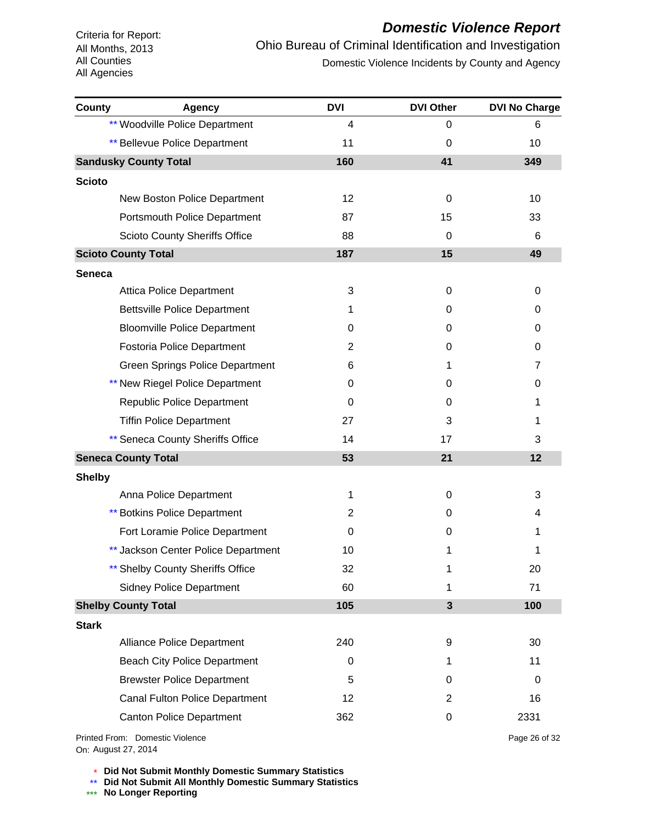# *Domestic Violence Report*

Ohio Bureau of Criminal Identification and Investigation Domestic Violence Incidents by County and Agency

| <b>County</b> | <b>Agency</b>                        | <b>DVI</b>     | <b>DVI Other</b> | <b>DVI No Charge</b> |
|---------------|--------------------------------------|----------------|------------------|----------------------|
|               | ** Woodville Police Department       | 4              | 0                | 6                    |
|               | <b>** Bellevue Police Department</b> | 11             | 0                | 10                   |
|               | <b>Sandusky County Total</b>         | 160            | 41               | 349                  |
| <b>Scioto</b> |                                      |                |                  |                      |
|               | New Boston Police Department         | 12             | 0                | 10                   |
|               | Portsmouth Police Department         | 87             | 15               | 33                   |
|               | <b>Scioto County Sheriffs Office</b> | 88             | 0                | 6                    |
|               | <b>Scioto County Total</b>           | 187            | 15               | 49                   |
| <b>Seneca</b> |                                      |                |                  |                      |
|               | <b>Attica Police Department</b>      | 3              | 0                | 0                    |
|               | <b>Bettsville Police Department</b>  | 1              | 0                | 0                    |
|               | <b>Bloomville Police Department</b>  | 0              | 0                | 0                    |
|               | Fostoria Police Department           | 2              | 0                | 0                    |
|               | Green Springs Police Department      | 6              | 1                | $\overline{7}$       |
|               | ** New Riegel Police Department      | 0              | 0                | 0                    |
|               | Republic Police Department           | 0              | 0                | 1                    |
|               | <b>Tiffin Police Department</b>      | 27             | 3                | 1                    |
|               | ** Seneca County Sheriffs Office     | 14             | 17               | 3                    |
|               | <b>Seneca County Total</b>           | 53             | 21               | 12                   |
| <b>Shelby</b> |                                      |                |                  |                      |
|               | Anna Police Department               | 1              | 0                | 3                    |
|               | <b>** Botkins Police Department</b>  | $\overline{c}$ | 0                | 4                    |
|               | Fort Loramie Police Department       | 0              | 0                | 1                    |
|               | ** Jackson Center Police Department  | 10             | 1                | 1                    |
|               | <b>Shelby County Sheriffs Office</b> | 32             | 1                | 20                   |
|               | <b>Sidney Police Department</b>      | 60             | 1                | 71                   |
|               | <b>Shelby County Total</b>           | 105            | $\mathbf{3}$     | 100                  |
| <b>Stark</b>  |                                      |                |                  |                      |
|               | <b>Alliance Police Department</b>    | 240            | 9                | 30                   |
|               | <b>Beach City Police Department</b>  | 0              | 1                | 11                   |
|               | <b>Brewster Police Department</b>    | 5              | 0                | 0                    |
|               | Canal Fulton Police Department       | 12             | 2                | 16                   |
|               | Canton Police Department             | 362            | 0                | 2331                 |
|               | Printed From: Domestic Violence      |                |                  | Page 26 of 32        |

On: August 27, 2014

\* **Did Not Submit Monthly Domestic Summary Statistics**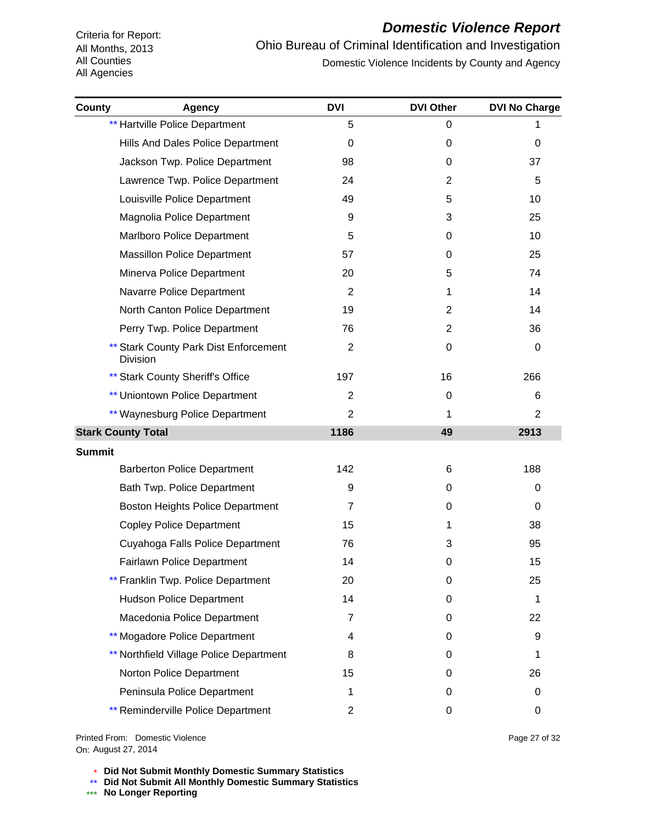# *Domestic Violence Report*

Ohio Bureau of Criminal Identification and Investigation Domestic Violence Incidents by County and Agency

| County<br>Agency                                  | <b>DVI</b>     | <b>DVI Other</b> | <b>DVI No Charge</b> |
|---------------------------------------------------|----------------|------------------|----------------------|
| <b>** Hartville Police Department</b>             | 5              | 0                |                      |
| Hills And Dales Police Department                 | 0              | 0                | 0                    |
| Jackson Twp. Police Department                    | 98             | 0                | 37                   |
| Lawrence Twp. Police Department                   | 24             | 2                | 5                    |
| Louisville Police Department                      | 49             | 5                | 10                   |
| Magnolia Police Department                        | 9              | 3                | 25                   |
| Marlboro Police Department                        | 5              | 0                | 10                   |
| <b>Massillon Police Department</b>                | 57             | 0                | 25                   |
| Minerva Police Department                         | 20             | 5                | 74                   |
| Navarre Police Department                         | $\overline{2}$ | 1                | 14                   |
| North Canton Police Department                    | 19             | 2                | 14                   |
| Perry Twp. Police Department                      | 76             | 2                | 36                   |
| ** Stark County Park Dist Enforcement<br>Division | $\overline{2}$ | 0                | 0                    |
| ** Stark County Sheriff's Office                  | 197            | 16               | 266                  |
| ** Uniontown Police Department                    | $\overline{c}$ | 0                | 6                    |
| ** Waynesburg Police Department                   | 2              | 1                | 2                    |
| <b>Stark County Total</b>                         | 1186           | 49               | 2913                 |
| <b>Summit</b>                                     |                |                  |                      |
| <b>Barberton Police Department</b>                | 142            | 6                | 188                  |
| Bath Twp. Police Department                       | 9              | 0                | 0                    |
| <b>Boston Heights Police Department</b>           | $\overline{7}$ | 0                | 0                    |
| <b>Copley Police Department</b>                   | 15             | 1                | 38                   |
| Cuyahoga Falls Police Department                  | 76             | 3                | 95                   |
| Fairlawn Police Department                        | 14             | 0                | 15                   |
| ** Franklin Twp. Police Department                | 20             | 0                | 25                   |
| <b>Hudson Police Department</b>                   | 14             | 0                | 1                    |
| Macedonia Police Department                       | 7              | 0                | 22                   |
| ** Mogadore Police Department                     | 4              | 0                | 9                    |
| ** Northfield Village Police Department           | 8              | 0                | 1                    |
| Norton Police Department                          | 15             | 0                | 26                   |
| Peninsula Police Department                       | 1              | 0                | 0                    |
| <b>** Reminderville Police Department</b>         | 2              | 0                | 0                    |

On: August 27, 2014Printed From: Domestic Violence

\* **Did Not Submit Monthly Domestic Summary Statistics**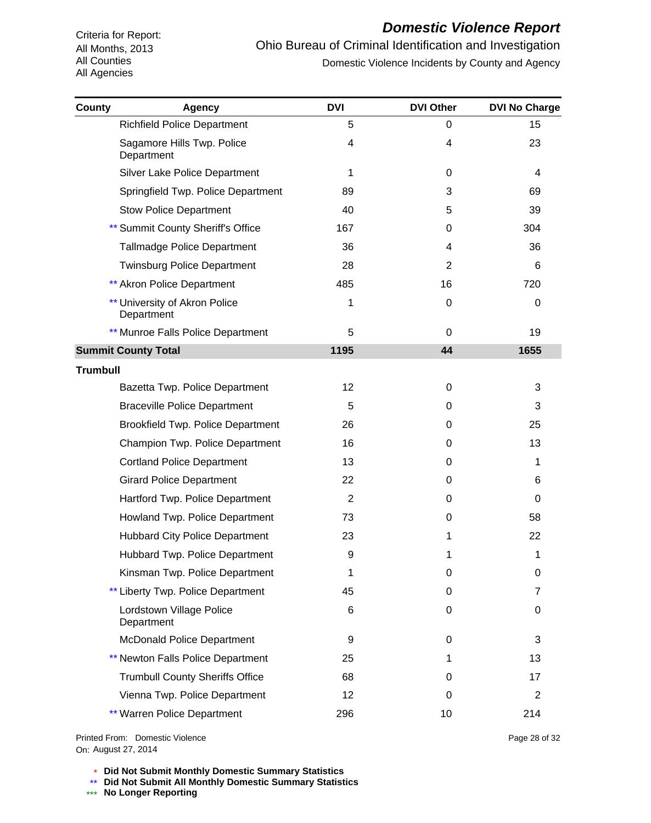# *Domestic Violence Report*

Ohio Bureau of Criminal Identification and Investigation Domestic Violence Incidents by County and Agency

| <b>County</b>   | <b>Agency</b>                                      | <b>DVI</b> | <b>DVI Other</b> | <b>DVI No Charge</b> |
|-----------------|----------------------------------------------------|------------|------------------|----------------------|
|                 | <b>Richfield Police Department</b>                 | 5          | 0                | 15                   |
|                 | Sagamore Hills Twp. Police<br>Department           | 4          | 4                | 23                   |
|                 | <b>Silver Lake Police Department</b>               | 1          | 0                | 4                    |
|                 | Springfield Twp. Police Department                 | 89         | 3                | 69                   |
|                 | <b>Stow Police Department</b>                      | 40         | 5                | 39                   |
|                 | <b>** Summit County Sheriff's Office</b>           | 167        | 0                | 304                  |
|                 | <b>Tallmadge Police Department</b>                 | 36         | 4                | 36                   |
|                 | <b>Twinsburg Police Department</b>                 | 28         | 2                | 6                    |
|                 | <b>** Akron Police Department</b>                  | 485        | 16               | 720                  |
|                 | <b>** University of Akron Police</b><br>Department | 1          | 0                | 0                    |
|                 | ** Munroe Falls Police Department                  | 5          | $\Omega$         | 19                   |
|                 | <b>Summit County Total</b>                         | 1195       | 44               | 1655                 |
| <b>Trumbull</b> |                                                    |            |                  |                      |
|                 | Bazetta Twp. Police Department                     | 12         | 0                | 3                    |
|                 | <b>Braceville Police Department</b>                | 5          | 0                | 3                    |
|                 | Brookfield Twp. Police Department                  | 26         | 0                | 25                   |
|                 | Champion Twp. Police Department                    | 16         | 0                | 13                   |
|                 | <b>Cortland Police Department</b>                  | 13         | 0                | 1                    |
|                 | <b>Girard Police Department</b>                    | 22         | 0                | 6                    |
|                 | Hartford Twp. Police Department                    | 2          | 0                | 0                    |
|                 | Howland Twp. Police Department                     | 73         | 0                | 58                   |
|                 | <b>Hubbard City Police Department</b>              | 23         | 1                | 22                   |
|                 | Hubbard Twp. Police Department                     | 9          | 1                | 1                    |
|                 | Kinsman Twp. Police Department                     | 1          | 0                | 0                    |
|                 | ** Liberty Twp. Police Department                  | 45         | 0                | 7                    |
|                 | Lordstown Village Police<br>Department             | 6          | 0                | 0                    |
|                 | <b>McDonald Police Department</b>                  | 9          | 0                | 3                    |
|                 | <b>** Newton Falls Police Department</b>           | 25         | 1                | 13                   |
|                 | <b>Trumbull County Sheriffs Office</b>             | 68         | 0                | 17                   |
|                 | Vienna Twp. Police Department                      | 12         | 0                | 2                    |
|                 | <b>** Warren Police Department</b>                 | 296        | 10               | 214                  |

On: August 27, 2014Printed From: Domestic Violence Page 28 of 32

\* **Did Not Submit Monthly Domestic Summary Statistics**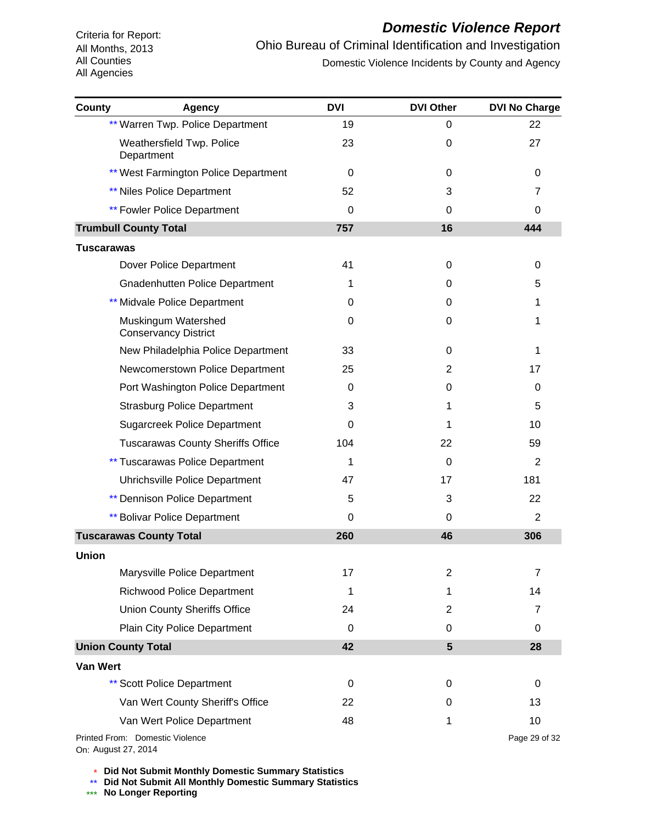# *Domestic Violence Report*

Ohio Bureau of Criminal Identification and Investigation Domestic Violence Incidents by County and Agency

| <b>County</b>     | <b>Agency</b>                                      | <b>DVI</b> | <b>DVI Other</b> | <b>DVI No Charge</b> |
|-------------------|----------------------------------------------------|------------|------------------|----------------------|
|                   | ** Warren Twp. Police Department                   | 19         | 0                | 22                   |
|                   | Weathersfield Twp. Police<br>Department            | 23         | 0                | 27                   |
|                   | ** West Farmington Police Department               | 0          | 0                | 0                    |
|                   | <b>** Niles Police Department</b>                  | 52         | 3                | 7                    |
|                   | <b>** Fowler Police Department</b>                 | 0          | 0                | 0                    |
|                   | <b>Trumbull County Total</b>                       | 757        | 16               | 444                  |
| <b>Tuscarawas</b> |                                                    |            |                  |                      |
|                   | Dover Police Department                            | 41         | 0                | 0                    |
|                   | <b>Gnadenhutten Police Department</b>              | 1          | 0                | 5                    |
|                   | ** Midvale Police Department                       | $\Omega$   | 0                | 1                    |
|                   | Muskingum Watershed<br><b>Conservancy District</b> | 0          | 0                | 1                    |
|                   | New Philadelphia Police Department                 | 33         | 0                | 1                    |
|                   | Newcomerstown Police Department                    | 25         | $\overline{2}$   | 17                   |
|                   | Port Washington Police Department                  | 0          | 0                | 0                    |
|                   | <b>Strasburg Police Department</b>                 | 3          | 1                | 5                    |
|                   | <b>Sugarcreek Police Department</b>                | 0          | 1                | 10                   |
|                   | <b>Tuscarawas County Sheriffs Office</b>           | 104        | 22               | 59                   |
|                   | <b>** Tuscarawas Police Department</b>             | 1          | 0                | 2                    |
|                   | Uhrichsville Police Department                     | 47         | 17               | 181                  |
|                   | <b>** Dennison Police Department</b>               | 5          | 3                | 22                   |
|                   | <b>** Bolivar Police Department</b>                | $\Omega$   | 0                | 2                    |
|                   | <b>Tuscarawas County Total</b>                     | 260        | 46               | 306                  |
| <b>Union</b>      |                                                    |            |                  |                      |
|                   | Marysville Police Department                       | 17         | $\overline{2}$   | 7                    |
|                   | <b>Richwood Police Department</b>                  | 1          | 1                | 14                   |
|                   | <b>Union County Sheriffs Office</b>                | 24         | $\overline{2}$   | 7                    |
|                   | Plain City Police Department                       | 0          | 0                | 0                    |
|                   | <b>Union County Total</b>                          | 42         | $5\phantom{1}$   | 28                   |
| <b>Van Wert</b>   |                                                    |            |                  |                      |
|                   | <b>** Scott Police Department</b>                  | 0          | 0                | 0                    |
|                   | Van Wert County Sheriff's Office                   | 22         | 0                | 13                   |
|                   | Van Wert Police Department                         | 48         | 1                | 10                   |
|                   | Printed From: Domestic Violence                    |            |                  | Page 29 of 32        |

On: August 27, 2014

\* **Did Not Submit Monthly Domestic Summary Statistics**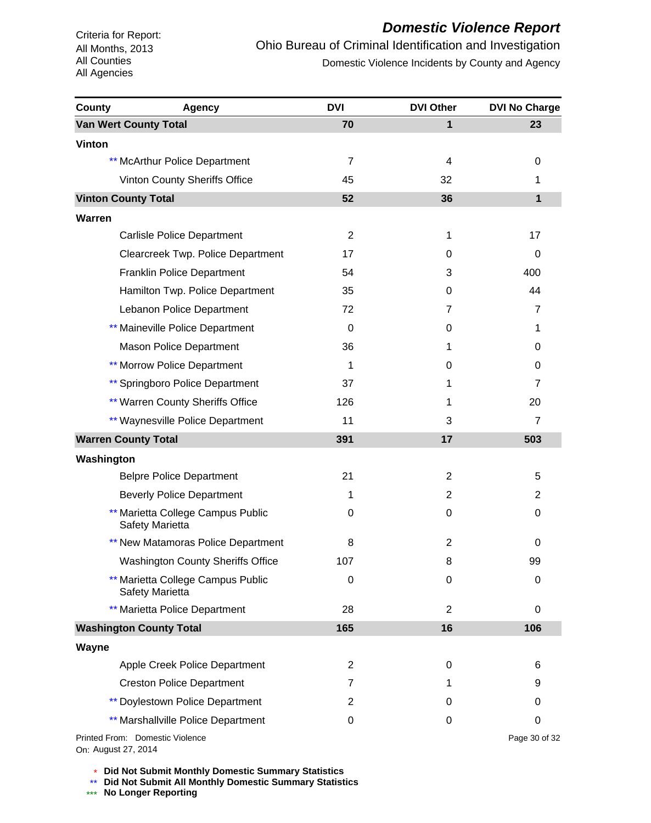# *Domestic Violence Report*

Ohio Bureau of Criminal Identification and Investigation Domestic Violence Incidents by County and Agency

| County        | <b>Agency</b>                                        | <b>DVI</b>     | <b>DVI Other</b> | <b>DVI No Charge</b> |
|---------------|------------------------------------------------------|----------------|------------------|----------------------|
|               | <b>Van Wert County Total</b>                         | 70             | $\mathbf{1}$     | 23                   |
| <b>Vinton</b> |                                                      |                |                  |                      |
|               | ** McArthur Police Department                        | $\overline{7}$ | 4                | 0                    |
|               | Vinton County Sheriffs Office                        | 45             | 32               | 1                    |
|               | <b>Vinton County Total</b>                           | 52             | 36               | 1                    |
| <b>Warren</b> |                                                      |                |                  |                      |
|               | <b>Carlisle Police Department</b>                    | $\overline{2}$ | 1                | 17                   |
|               | Clearcreek Twp. Police Department                    | 17             | 0                | 0                    |
|               | <b>Franklin Police Department</b>                    | 54             | 3                | 400                  |
|               | Hamilton Twp. Police Department                      | 35             | 0                | 44                   |
|               | Lebanon Police Department                            | 72             | 7                | $\overline{7}$       |
|               | ** Maineville Police Department                      | 0              | 0                | 1                    |
|               | <b>Mason Police Department</b>                       | 36             | 1                | 0                    |
|               | <b>** Morrow Police Department</b>                   | 1              | 0                | 0                    |
|               | ** Springboro Police Department                      | 37             | 1                | $\overline{7}$       |
|               | ** Warren County Sheriffs Office                     | 126            | 1                | 20                   |
|               | ** Waynesville Police Department                     | 11             | 3                | $\overline{7}$       |
|               | <b>Warren County Total</b>                           | 391            | 17               | 503                  |
| Washington    |                                                      |                |                  |                      |
|               | <b>Belpre Police Department</b>                      | 21             | $\overline{2}$   | 5                    |
|               | <b>Beverly Police Department</b>                     | 1              | 2                | 2                    |
|               | ** Marietta College Campus Public<br>Safety Marietta | 0              | 0                | 0                    |
|               | ** New Matamoras Police Department                   | 8              | $\overline{2}$   | 0                    |
|               | <b>Washington County Sheriffs Office</b>             | 107            | 8                | 99                   |
|               | ** Marietta College Campus Public<br>Safety Marietta | $\mathbf 0$    | 0                | 0                    |
|               | ** Marietta Police Department                        | 28             | $\overline{c}$   | 0                    |
|               | <b>Washington County Total</b>                       | 165            | 16               | 106                  |
| Wayne         |                                                      |                |                  |                      |
|               | Apple Creek Police Department                        | $\mathbf{2}$   | 0                | 6                    |
|               | <b>Creston Police Department</b>                     | 7              | 1                | 9                    |
|               | <b>** Doylestown Police Department</b>               | 2              | 0                | 0                    |
|               | ** Marshallville Police Department                   | 0              | 0                | 0                    |
|               | Printed From: Domestic Violence                      |                |                  | Page 30 of 32        |

On: August 27, 2014

\* **Did Not Submit Monthly Domestic Summary Statistics**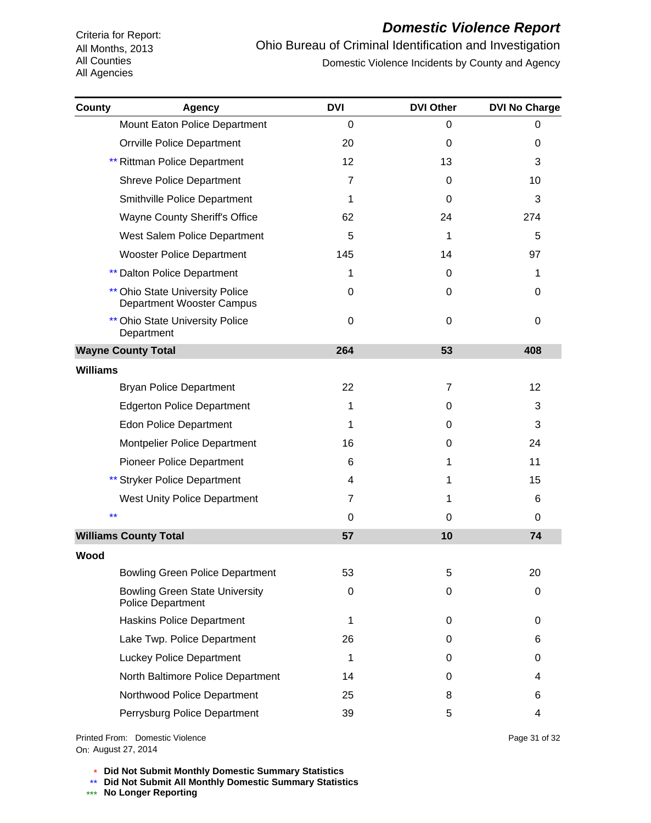#### *Domestic Violence Report*

Ohio Bureau of Criminal Identification and Investigation Domestic Violence Incidents by County and Agency

| County          | <b>Agency</b>                                                       | <b>DVI</b>     | <b>DVI Other</b> | <b>DVI No Charge</b> |
|-----------------|---------------------------------------------------------------------|----------------|------------------|----------------------|
|                 | Mount Eaton Police Department                                       | $\Omega$       | 0                | 0                    |
|                 | <b>Orrville Police Department</b>                                   | 20             | $\Omega$         | 0                    |
|                 | ** Rittman Police Department                                        | 12             | 13               | 3                    |
|                 | <b>Shreve Police Department</b>                                     | 7              | $\Omega$         | 10                   |
|                 | Smithville Police Department                                        | 1              | 0                | 3                    |
|                 | <b>Wayne County Sheriff's Office</b>                                | 62             | 24               | 274                  |
|                 | West Salem Police Department                                        | 5              | 1                | 5                    |
|                 | <b>Wooster Police Department</b>                                    | 145            | 14               | 97                   |
|                 | <b>** Dalton Police Department</b>                                  | 1              | 0                | 1                    |
|                 | <b>** Ohio State University Police</b><br>Department Wooster Campus | 0              | 0                | 0                    |
|                 | <b>Ohio State University Police</b><br>Department                   | 0              | $\Omega$         | $\Omega$             |
|                 | <b>Wayne County Total</b>                                           | 264            | 53               | 408                  |
| <b>Williams</b> |                                                                     |                |                  |                      |
|                 | <b>Bryan Police Department</b>                                      | 22             | 7                | 12 <sup>2</sup>      |
|                 | <b>Edgerton Police Department</b>                                   | 1              | 0                | 3                    |
|                 | <b>Edon Police Department</b>                                       | 1              | 0                | 3                    |
|                 | Montpelier Police Department                                        | 16             | 0                | 24                   |
|                 | <b>Pioneer Police Department</b>                                    | 6              | 1                | 11                   |
|                 | ** Stryker Police Department                                        | 4              | 1                | 15                   |
|                 | <b>West Unity Police Department</b>                                 | $\overline{7}$ | 1                | 6                    |
|                 | $\star\star$                                                        | 0              | 0                | 0                    |
|                 | <b>Williams County Total</b>                                        | 57             | 10               | 74                   |
| Wood            |                                                                     |                |                  |                      |
|                 | <b>Bowling Green Police Department</b>                              | 53             | 5                | 20                   |
|                 | <b>Bowling Green State University</b><br><b>Police Department</b>   | 0              | 0                | 0                    |
|                 | <b>Haskins Police Department</b>                                    | 1              | 0                | 0                    |
|                 | Lake Twp. Police Department                                         | 26             | 0                | 6                    |
|                 | <b>Luckey Police Department</b>                                     | 1              | 0                | 0                    |
|                 | North Baltimore Police Department                                   | 14             | 0                | 4                    |
|                 | Northwood Police Department                                         | 25             | 8                | 6                    |
|                 | Perrysburg Police Department                                        | 39             | 5                | 4                    |

On: August 27, 2014Printed From: Domestic Violence Page 31 of 32

\* **Did Not Submit Monthly Domestic Summary Statistics**